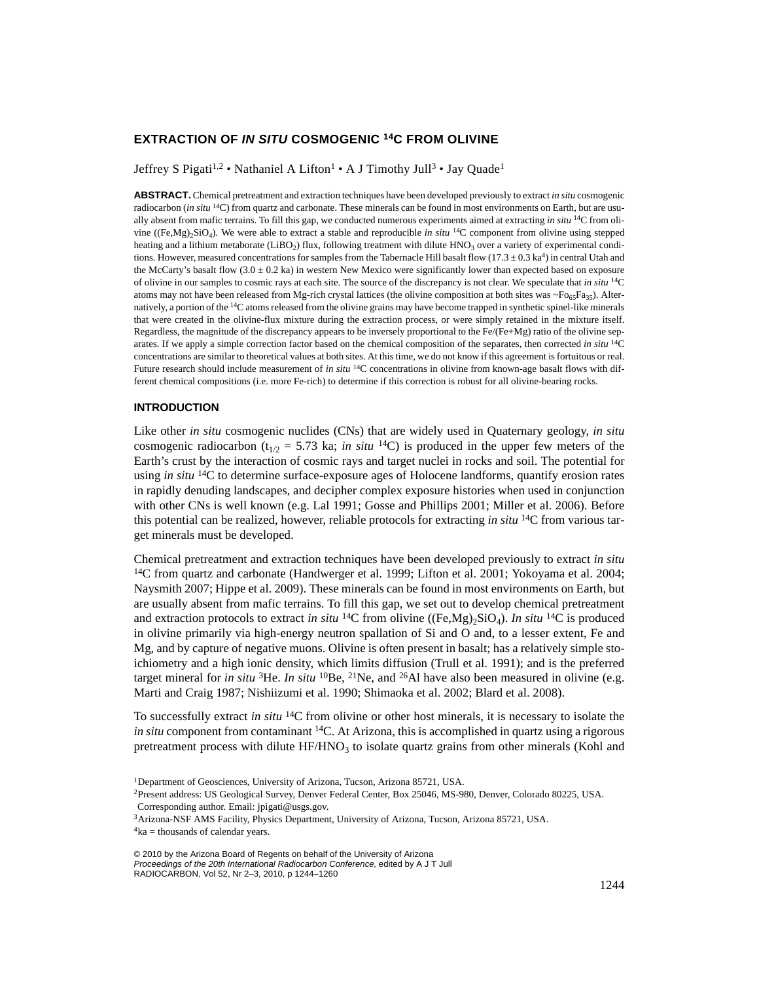# **EXTRACTION OF** *IN SITU* **COSMOGENIC 14C FROM OLIVINE**

Jeffrey S Pigati<sup>1,2</sup> • Nathaniel A Lifton<sup>1</sup> • A J Timothy Jull<sup>3</sup> • Jay Quade<sup>1</sup>

**ABSTRACT.** Chemical pretreatment and extraction techniques have been developed previously to extract *in situ* cosmogenic radiocarbon (*in situ* 14C) from quartz and carbonate. These minerals can be found in most environments on Earth, but are usually absent from mafic terrains. To fill this gap, we conducted numerous experiments aimed at extracting *in situ* 14C from olivine ( $(Fe, Mg)$ , $SiO<sub>4</sub>$ ). We were able to extract a stable and reproducible *in situ* <sup>14</sup>C component from olivine using stepped heating and a lithium metaborate (LiBO<sub>2</sub>) flux, following treatment with dilute  $HNO<sub>3</sub>$  over a variety of experimental conditions. However, measured concentrations for samples from the Tabernacle Hill basalt flow ( $17.3 \pm 0.3$  ka<sup>4</sup>) in central Utah and the McCarty's basalt flow  $(3.0 \pm 0.2 \text{ ka})$  in western New Mexico were significantly lower than expected based on exposure of olivine in our samples to cosmic rays at each site. The source of the discrepancy is not clear. We speculate that *in situ* 14C atoms may not have been released from Mg-rich crystal lattices (the olivine composition at both sites was  $\sim F_{065}F_{035}$ ). Alternatively, a portion of the 14C atoms released from the olivine grains may have become trapped in synthetic spinel-like minerals that were created in the olivine-flux mixture during the extraction process, or were simply retained in the mixture itself. Regardless, the magnitude of the discrepancy appears to be inversely proportional to the Fe/(Fe+Mg) ratio of the olivine separates. If we apply a simple correction factor based on the chemical composition of the separates, then corrected *in situ* 14C concentrations are similar to theoretical values at both sites. At this time, we do not know if this agreement is fortuitous or real. Future research should include measurement of *in situ* <sup>14</sup>C concentrations in olivine from known-age basalt flows with different chemical compositions (i.e. more Fe-rich) to determine if this correction is robust for all olivine-bearing rocks.

# **INTRODUCTION**

Like other *in situ* cosmogenic nuclides (CNs) that are widely used in Quaternary geology, *in situ* cosmogenic radiocarbon ( $t_{1/2} = 5.73$  ka; *in situ* <sup>14</sup>C) is produced in the upper few meters of the Earth's crust by the interaction of cosmic rays and target nuclei in rocks and soil. The potential for using *in situ* 14C to determine surface-exposure ages of Holocene landforms, quantify erosion rates in rapidly denuding landscapes, and decipher complex exposure histories when used in conjunction with other CNs is well known (e.g. Lal 1991; Gosse and Phillips 2001; Miller et al. 2006). Before this potential can be realized, however, reliable protocols for extracting *in situ* 14C from various target minerals must be developed.

Chemical pretreatment and extraction techniques have been developed previously to extract *in situ* 14C from quartz and carbonate (Handwerger et al. 1999; Lifton et al. 2001; Yokoyama et al. 2004; Naysmith 2007; Hippe et al. 2009). These minerals can be found in most environments on Earth, but are usually absent from mafic terrains. To fill this gap, we set out to develop chemical pretreatment and extraction protocols to extract *in situ* <sup>14</sup>C from olivine ((Fe,Mg)<sub>2</sub>SiO<sub>4</sub>). *In situ* <sup>14</sup>C is produced in olivine primarily via high-energy neutron spallation of Si and O and, to a lesser extent, Fe and Mg, and by capture of negative muons. Olivine is often present in basalt; has a relatively simple stoichiometry and a high ionic density, which limits diffusion (Trull et al. 1991); and is the preferred target mineral for *in situ* <sup>3</sup>He. *In situ* <sup>10</sup>Be, <sup>21</sup>Ne, and <sup>26</sup>Al have also been measured in olivine (e.g. Marti and Craig 1987; Nishiizumi et al. 1990; Shimaoka et al. 2002; Blard et al. 2008).

To successfully extract *in situ* 14C from olivine or other host minerals, it is necessary to isolate the *in situ* component from contaminant <sup>14</sup>C. At Arizona, this is accomplished in quartz using a rigorous pretreatment process with dilute  $HF/HNO<sub>3</sub>$  to isolate quartz grains from other minerals (Kohl and

<sup>1</sup>Department of Geosciences, University of Arizona, Tucson, Arizona 85721, USA.

<sup>2</sup>Present address: US Geological Survey, Denver Federal Center, Box 25046, MS-980, Denver, Colorado 80225, USA.

Corresponding author. Email: jpigati@usgs.gov.

<sup>3</sup>Arizona-NSF AMS Facility, Physics Department, University of Arizona, Tucson, Arizona 85721, USA.  $4$ ka = thousands of calendar years.

<sup>© 2010</sup> by the Arizona Board of Regents on behalf of the University of Arizona *Proceedings of the 20th International Radiocarbon Conference,* edited by A J T Jull RADIOCARBON, Vol 52, Nr 2–3, 2010, p 1244–1260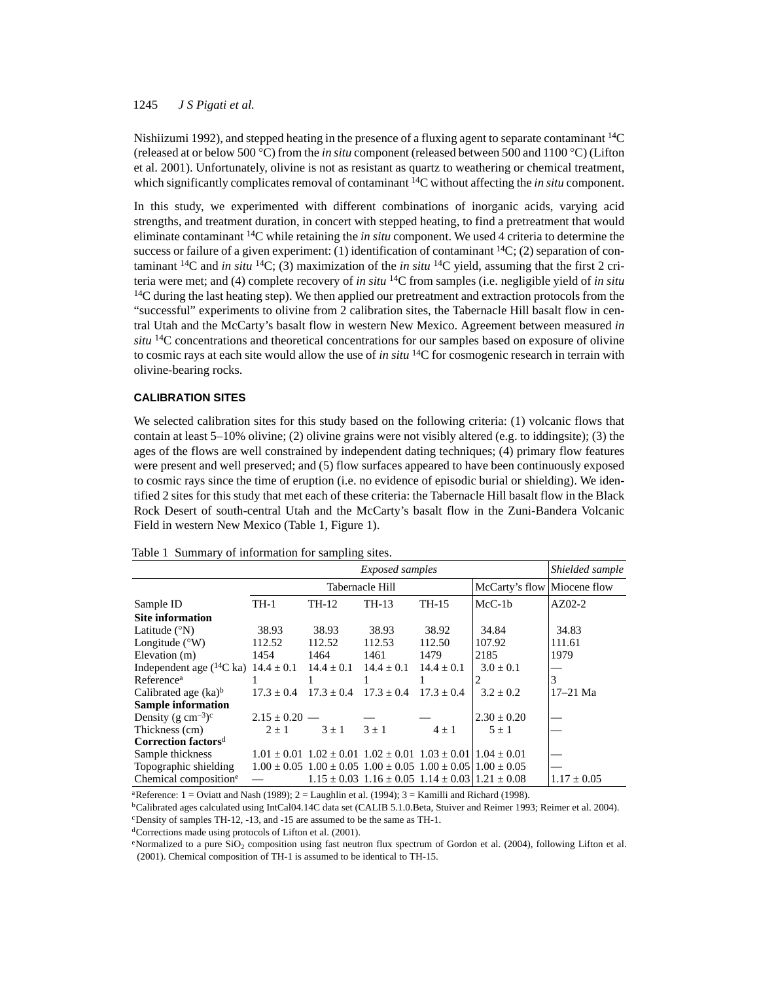Nishiizumi 1992), and stepped heating in the presence of a fluxing agent to separate contaminant 14C (released at or below 500 C) from the *in situ* component (released between 500 and 1100 C) (Lifton et al. 2001). Unfortunately, olivine is not as resistant as quartz to weathering or chemical treatment, which significantly complicates removal of contaminant <sup>14</sup>C without affecting the *in situ* component.

In this study, we experimented with different combinations of inorganic acids, varying acid strengths, and treatment duration, in concert with stepped heating, to find a pretreatment that would eliminate contaminant 14C while retaining the *in situ* component. We used 4 criteria to determine the success or failure of a given experiment: (1) identification of contaminant  ${}^{14}C$ ; (2) separation of contaminant <sup>14</sup>C and *in situ* <sup>14</sup>C; (3) maximization of the *in situ* <sup>14</sup>C yield, assuming that the first 2 criteria were met; and (4) complete recovery of *in situ* 14C from samples (i.e. negligible yield of *in situ*  $14$ C during the last heating step). We then applied our pretreatment and extraction protocols from the "successful" experiments to olivine from 2 calibration sites, the Tabernacle Hill basalt flow in central Utah and the McCarty's basalt flow in western New Mexico. Agreement between measured *in situ* 14C concentrations and theoretical concentrations for our samples based on exposure of olivine to cosmic rays at each site would allow the use of *in situ* 14C for cosmogenic research in terrain with olivine-bearing rocks.

# **CALIBRATION SITES**

We selected calibration sites for this study based on the following criteria: (1) volcanic flows that contain at least  $5-10\%$  olivine; (2) olivine grains were not visibly altered (e.g. to iddingsite); (3) the ages of the flows are well constrained by independent dating techniques; (4) primary flow features were present and well preserved; and (5) flow surfaces appeared to have been continuously exposed to cosmic rays since the time of eruption (i.e. no evidence of episodic burial or shielding). We identified 2 sites for this study that met each of these criteria: the Tabernacle Hill basalt flow in the Black Rock Desert of south-central Utah and the McCarty's basalt flow in the Zuni-Bandera Volcanic Field in western New Mexico (Table 1, Figure 1).

#### Table 1 Summary of information for sampling sites.

|                                                             | Shielded sample   |              |                                                                                 |                |                             |                 |
|-------------------------------------------------------------|-------------------|--------------|---------------------------------------------------------------------------------|----------------|-----------------------------|-----------------|
|                                                             |                   |              | Tabernacle Hill                                                                 |                | McCarty's flow Miocene flow |                 |
| Sample ID                                                   | TH-1              | TH-12        | TH-13                                                                           | TH-15          | $McC-1b$                    | $AZ02-2$        |
| <b>Site information</b>                                     |                   |              |                                                                                 |                |                             |                 |
| Latitude $(^{\circ}N)$                                      | 38.93             | 38.93        | 38.93                                                                           | 38.92          | 34.84                       | 34.83           |
| Longitude $(^{\circ}W)$                                     | 112.52            | 112.52       | 112.53                                                                          | 112.50         | 107.92                      | 111.61          |
| Elevation (m)                                               | 1454              | 1464         | 1461                                                                            | 1479           | 2185                        | 1979            |
| Independent age $(^{14}C$ ka) $14.4 \pm 0.1$ $14.4 \pm 0.1$ |                   |              | $14.4 \pm 0.1$                                                                  | $14.4 \pm 0.1$ | $3.0 \pm 0.1$               |                 |
| Reference <sup>a</sup>                                      |                   |              |                                                                                 |                | 2                           | 3               |
| Calibrated age $(ka)^b$                                     | $17.3 + 0.4$      | $17.3 + 0.4$ | $17.3 + 0.4$                                                                    | $17.3 + 0.4$   | $3.2 + 0.2$                 | $17 - 21$ Ma    |
| <b>Sample information</b>                                   |                   |              |                                                                                 |                |                             |                 |
| Density $(g \text{ cm}^{-3})^c$                             | $2.15 \pm 0.20$ — |              |                                                                                 |                | $2.30 \pm 0.20$             |                 |
| Thickness (cm)                                              | $2 + 1$           | $3 \pm 1$    | $3 + 1$                                                                         | $4 + 1$        | $5 + 1$                     |                 |
| Correction factors <sup>d</sup>                             |                   |              |                                                                                 |                |                             |                 |
| Sample thickness                                            |                   |              | $1.01 \pm 0.01$ $1.02 \pm 0.01$ $1.02 \pm 0.01$ $1.03 \pm 0.01$ $1.04 \pm 0.01$ |                |                             |                 |
| Topographic shielding                                       |                   |              | $1.00 \pm 0.05$ $1.00 \pm 0.05$ $1.00 \pm 0.05$ $1.00 \pm 0.05$ $1.00 \pm 0.05$ |                |                             |                 |
| Chemical composition <sup>e</sup>                           |                   |              | $1.15 \pm 0.03$ $1.16 \pm 0.05$ $1.14 \pm 0.03$ $1.21 \pm 0.08$                 |                |                             | $1.17 \pm 0.05$ |

<sup>a</sup>Reference:  $1 =$  Oviatt and Nash (1989);  $2 =$  Laughlin et al. (1994);  $3 =$  Kamilli and Richard (1998).

bCalibrated ages calculated using IntCal04.14C data set (CALIB 5.1.0.Beta, Stuiver and Reimer 1993; Reimer et al. 2004). cDensity of samples TH-12, -13, and -15 are assumed to be the same as TH-1.

dCorrections made using protocols of Lifton et al. (2001).

eNormalized to a pure SiO<sub>2</sub> composition using fast neutron flux spectrum of Gordon et al. (2004), following Lifton et al. (2001). Chemical composition of TH-1 is assumed to be identical to TH-15.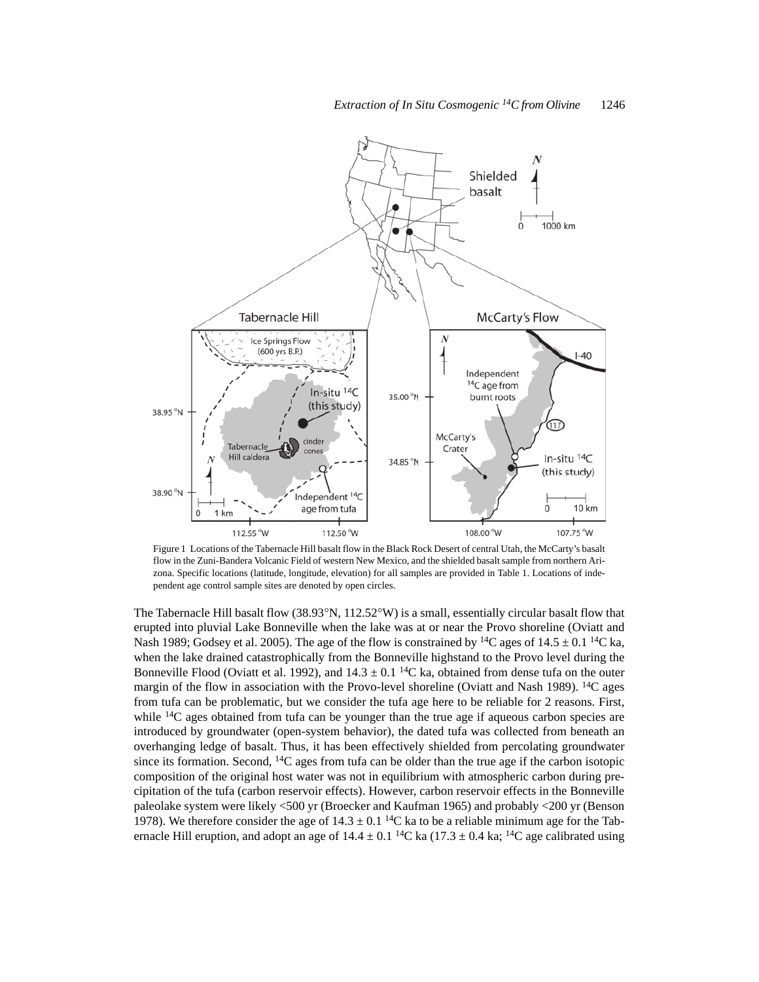

Figure 1 Locations of the Tabernacle Hill basalt flow in the Black Rock Desert of central Utah, the McCarty's basalt flow in the Zuni-Bandera Volcanic Field of western New Mexico, and the shielded basalt sample from northern Arizona. Specific locations (latitude, longitude, elevation) for all samples are provided in Table 1. Locations of independent age control sample sites are denoted by open circles.

The Tabernacle Hill basalt flow  $(38.93^{\circ}N, 112.52^{\circ}W)$  is a small, essentially circular basalt flow that erupted into pluvial Lake Bonneville when the lake was at or near the Provo shoreline (Oviatt and Nash 1989; Godsey et al. 2005). The age of the flow is constrained by <sup>14</sup>C ages of  $14.5 \pm 0.1$  <sup>14</sup>C ka, when the lake drained catastrophically from the Bonneville highstand to the Provo level during the Bonneville Flood (Oviatt et al. 1992), and  $14.3 \pm 0.1$  <sup>14</sup>C ka, obtained from dense tufa on the outer margin of the flow in association with the Provo-level shoreline (Oviatt and Nash 1989).  $^{14}C$  ages from tufa can be problematic, but we consider the tufa age here to be reliable for 2 reasons. First, while <sup>14</sup>C ages obtained from tufa can be younger than the true age if aqueous carbon species are introduced by groundwater (open-system behavior), the dated tufa was collected from beneath an overhanging ledge of basalt. Thus, it has been effectively shielded from percolating groundwater since its formation. Second,  $14C$  ages from tufa can be older than the true age if the carbon isotopic composition of the original host water was not in equilibrium with atmospheric carbon during precipitation of the tufa (carbon reservoir effects). However, carbon reservoir effects in the Bonneville paleolake system were likely <500 yr (Broecker and Kaufman 1965) and probably <200 yr (Benson 1978). We therefore consider the age of  $14.3 \pm 0.1$  <sup>14</sup>C ka to be a reliable minimum age for the Tabernacle Hill eruption, and adopt an age of  $14.4 \pm 0.1$  <sup>14</sup>C ka (17.3  $\pm$  0.4 ka; <sup>14</sup>C age calibrated using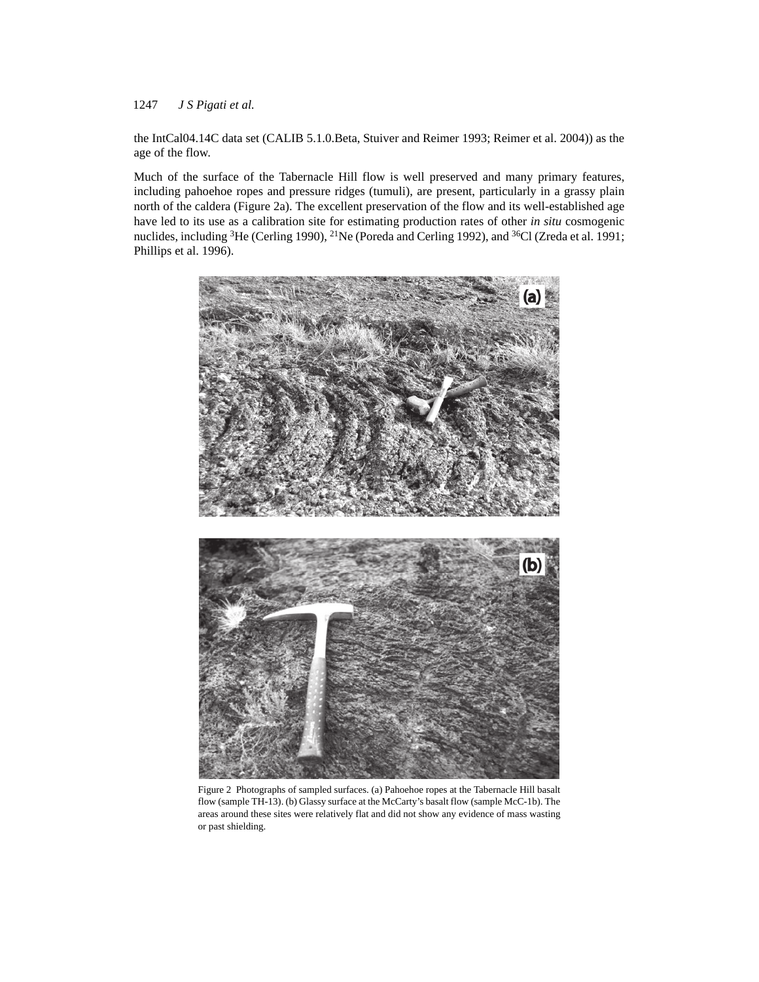the IntCal04.14C data set (CALIB 5.1.0.Beta, Stuiver and Reimer 1993; Reimer et al. 2004)) as the age of the flow.

Much of the surface of the Tabernacle Hill flow is well preserved and many primary features, including pahoehoe ropes and pressure ridges (tumuli), are present, particularly in a grassy plain north of the caldera (Figure 2a). The excellent preservation of the flow and its well-established age have led to its use as a calibration site for estimating production rates of other *in situ* cosmogenic nuclides, including <sup>3</sup>He (Cerling 1990), <sup>21</sup>Ne (Poreda and Cerling 1992), and <sup>36</sup>Cl (Zreda et al. 1991; Phillips et al. 1996).



Figure 2 Photographs of sampled surfaces. (a) Pahoehoe ropes at the Tabernacle Hill basalt flow (sample TH-13). (b) Glassy surface at the McCarty's basalt flow (sample McC-1b). The areas around these sites were relatively flat and did not show any evidence of mass wasting or past shielding.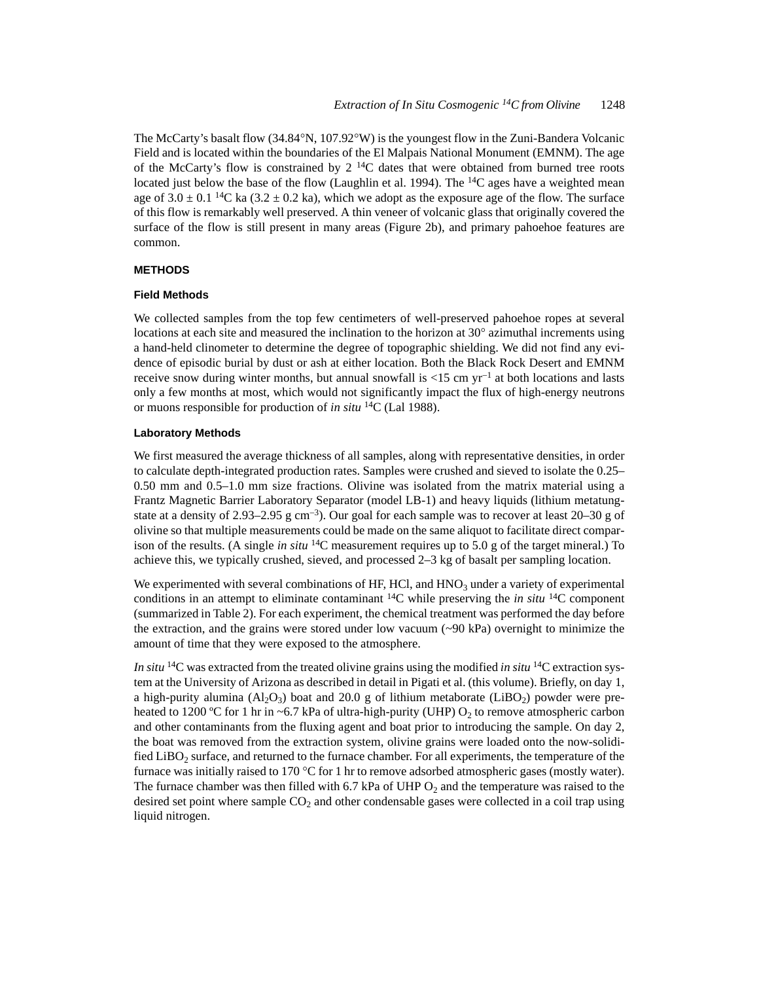The McCarty's basalt flow  $(34.84^{\circ}N, 107.92^{\circ}W)$  is the youngest flow in the Zuni-Bandera Volcanic Field and is located within the boundaries of the El Malpais National Monument (EMNM). The age of the McCarty's flow is constrained by  $2^{14}C$  dates that were obtained from burned tree roots located just below the base of the flow (Laughlin et al. 1994). The <sup>14</sup>C ages have a weighted mean age of  $3.0 \pm 0.1$  <sup>14</sup>C ka ( $3.2 \pm 0.2$  ka), which we adopt as the exposure age of the flow. The surface of this flow is remarkably well preserved. A thin veneer of volcanic glass that originally covered the surface of the flow is still present in many areas (Figure 2b), and primary pahoehoe features are common.

#### **METHODS**

#### **Field Methods**

We collected samples from the top few centimeters of well-preserved pahoehoe ropes at several locations at each site and measured the inclination to the horizon at  $30^{\circ}$  azimuthal increments using a hand-held clinometer to determine the degree of topographic shielding. We did not find any evidence of episodic burial by dust or ash at either location. Both the Black Rock Desert and EMNM receive snow during winter months, but annual snowfall is  $\langle 15 \text{ cm yr}^{-1}$  at both locations and lasts only a few months at most, which would not significantly impact the flux of high-energy neutrons or muons responsible for production of *in situ* 14C (Lal 1988).

#### **Laboratory Methods**

We first measured the average thickness of all samples, along with representative densities, in order to calculate depth-integrated production rates. Samples were crushed and sieved to isolate the 0.25– 0.50 mm and 0.5–1.0 mm size fractions. Olivine was isolated from the matrix material using a Frantz Magnetic Barrier Laboratory Separator (model LB-1) and heavy liquids (lithium metatungstate at a density of 2.93–2.95 g cm<sup>-3</sup>). Our goal for each sample was to recover at least  $20-30$  g of olivine so that multiple measurements could be made on the same aliquot to facilitate direct comparison of the results. (A single *in situ* 14C measurement requires up to 5.0 g of the target mineral.) To achieve this, we typically crushed, sieved, and processed 2–3 kg of basalt per sampling location.

We experimented with several combinations of HF, HCl, and  $HNO<sub>3</sub>$  under a variety of experimental conditions in an attempt to eliminate contaminant 14C while preserving the *in situ* 14C component (summarized in Table 2). For each experiment, the chemical treatment was performed the day before the extraction, and the grains were stored under low vacuum  $(\sim 90 \text{ kPa})$  overnight to minimize the amount of time that they were exposed to the atmosphere.

*In situ* 14C was extracted from the treated olivine grains using the modified *in situ* 14C extraction system at the University of Arizona as described in detail in Pigati et al. (this volume). Briefly, on day 1, a high-purity alumina  $(A_2O_3)$  boat and 20.0 g of lithium metaborate (LiBO<sub>2</sub>) powder were preheated to 1200 °C for 1 hr in ~6.7 kPa of ultra-high-purity (UHP)  $O_2$  to remove atmospheric carbon and other contaminants from the fluxing agent and boat prior to introducing the sample. On day 2, the boat was removed from the extraction system, olivine grains were loaded onto the now-solidified LiBO<sub>2</sub> surface, and returned to the furnace chamber. For all experiments, the temperature of the furnace was initially raised to 170 °C for 1 hr to remove adsorbed atmospheric gases (mostly water). The furnace chamber was then filled with 6.7 kPa of UHP  $O_2$  and the temperature was raised to the desired set point where sample  $CO<sub>2</sub>$  and other condensable gases were collected in a coil trap using liquid nitrogen.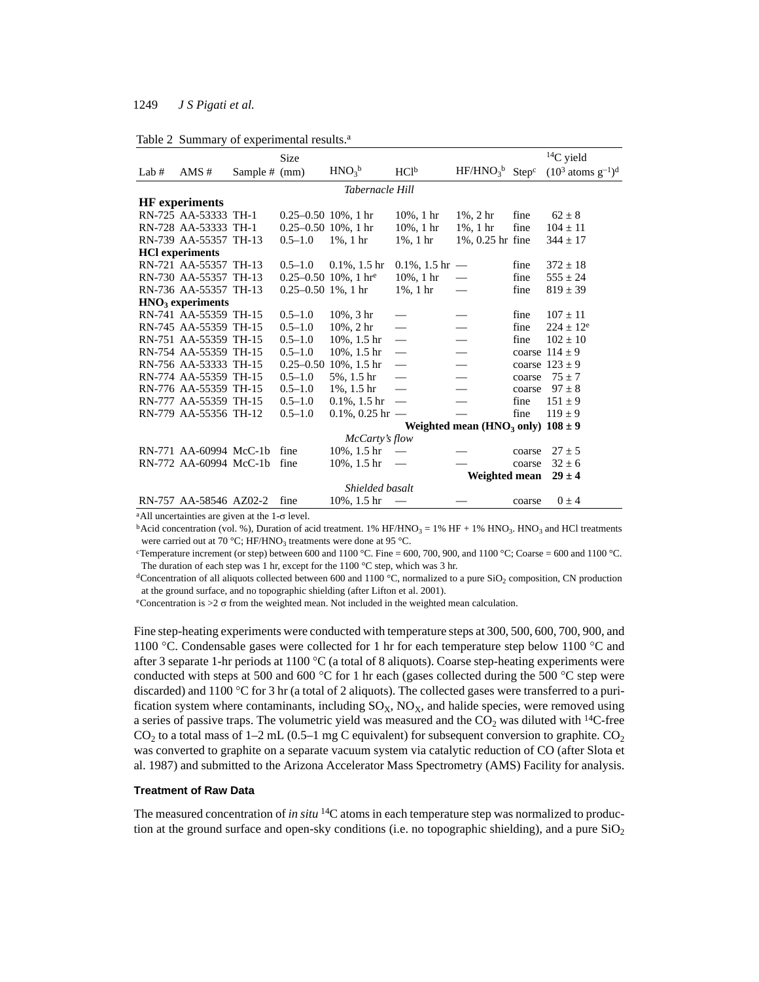|  |  |  | Table 2 Summary of experimental results. <sup>a</sup> |  |
|--|--|--|-------------------------------------------------------|--|
|--|--|--|-------------------------------------------------------|--|

|         |                        |               | <b>Size</b>             |                                      |                    |                                                   |        | $^{14}$ C yield                 |
|---------|------------------------|---------------|-------------------------|--------------------------------------|--------------------|---------------------------------------------------|--------|---------------------------------|
| Lab $#$ | AMS #                  | Sample # (mm) |                         | HNO <sub>3</sub> b                   | HC1 <sup>b</sup>   | $HF/HNO3b$ Step <sup>c</sup>                      |        | $(10^3 \text{ atoms g}^{-1})^d$ |
|         |                        |               |                         | Tabernacle Hill                      |                    |                                                   |        |                                 |
|         | <b>HF</b> experiments  |               |                         |                                      |                    |                                                   |        |                                 |
|         | RN-725 AA-53333 TH-1   |               | $0.25 - 0.50$ 10%, 1 hr |                                      | $10\%$ , 1 hr      | $1\%$ , 2 hr                                      | fine   | $62 \pm 8$                      |
|         | RN-728 AA-53333 TH-1   |               | $0.25 - 0.50$ 10%, 1 hr |                                      | $10\%$ , 1 hr      | $1\%$ , 1 hr                                      | fine   | $104 \pm 11$                    |
|         | RN-739 AA-55357 TH-13  |               | $0.5 - 1.0$             | $1\%$ , 1 hr                         | $1\%$ , 1 hr       | 1%, 0.25 hr fine                                  |        | $344 \pm 17$                    |
|         | <b>HCl</b> experiments |               |                         |                                      |                    |                                                   |        |                                 |
|         | RN-721 AA-55357 TH-13  |               | $0.5 - 1.0$             | $0.1\%$ , 1.5 hr                     | $0.1\%$ , 1.5 hr — |                                                   | fine   | $372 \pm 18$                    |
|         | RN-730 AA-55357 TH-13  |               |                         | $0.25 - 0.50$ 10%, 1 hr <sup>e</sup> | $10\%$ , 1 hr      |                                                   | fine   | $555 \pm 24$                    |
|         | RN-736 AA-55357 TH-13  |               | $0.25 - 0.50$ 1%, 1 hr  |                                      | 1%, 1 hr           |                                                   | fine   | $819 \pm 39$                    |
|         | $HNO3$ experiments     |               |                         |                                      |                    |                                                   |        |                                 |
|         | RN-741 AA-55359 TH-15  |               | $0.5 - 1.0$             | $10\%$ , $3 \text{ hr}$              |                    |                                                   | fine   | $107 \pm 11$                    |
|         | RN-745 AA-55359 TH-15  |               | $0.5 - 1.0$             | 10%, 2 hr                            |                    |                                                   | fine   | $224 + 12^e$                    |
|         | RN-751 AA-55359 TH-15  |               | $0.5 - 1.0$             | $10\%$ , 1.5 hr                      |                    |                                                   | fine   | $102 \pm 10$                    |
|         | RN-754 AA-55359 TH-15  |               | $0.5 - 1.0$             | $10\%$ , 1.5 hr                      |                    |                                                   |        | coarse $114 \pm 9$              |
|         | RN-756 AA-53333 TH-15  |               | $0.25 - 0.50$           | 10%, 1.5 hr                          | $\qquad \qquad$    |                                                   |        | coarse $123 \pm 9$              |
|         | RN-774 AA-55359 TH-15  |               | $0.5 - 1.0$             | 5%, 1.5 hr                           |                    |                                                   | coarse | $75 + 7$                        |
|         | RN-776 AA-55359 TH-15  |               | $0.5 - 1.0$             | $1\%$ , $1.5 \text{ hr}$             |                    |                                                   | coarse | $97 + 8$                        |
|         | RN-777 AA-55359 TH-15  |               | $0.5 - 1.0$             | $0.1\%$ , 1.5 hr                     |                    |                                                   | fine   | $151 \pm 9$                     |
|         | RN-779 AA-55356 TH-12  |               | $0.5 - 1.0$             | $0.1\%$ , 0.25 hr —                  |                    |                                                   | fine   | $119 + 9$                       |
|         |                        |               |                         |                                      |                    | Weighted mean (HNO <sub>3</sub> only) $108 \pm 9$ |        |                                 |
|         |                        |               |                         | McCarty's flow                       |                    |                                                   |        |                                 |
|         | RN-771 AA-60994 McC-1b |               | fine                    | $10\%$ , 1.5 hr                      |                    |                                                   | coarse | $27 \pm 5$                      |
|         | RN-772 AA-60994 McC-1b |               | fine                    | 10%, 1.5 hr                          |                    |                                                   | coarse | $32 \pm 6$                      |
|         |                        |               |                         |                                      |                    | Weighted mean                                     |        | $29 \pm 4$                      |
|         |                        |               |                         | Shielded basalt                      |                    |                                                   |        |                                 |
|         | RN-757 AA-58546 AZ02-2 |               | fine                    | $10\%$ , 1.5 hr                      |                    |                                                   | coarse | $0 \pm 4$                       |

<sup>a</sup>All uncertainties are given at the  $1-\sigma$  level.

 $b$ Acid concentration (vol. %), Duration of acid treatment. 1% HF/HNO<sub>3</sub> = 1% HF + 1% HNO<sub>3</sub>. HNO<sub>3</sub> and HCl treatments were carried out at 70 °C; HF/HNO<sub>3</sub> treatments were done at 95 °C.

<sup>c</sup>Temperature increment (or step) between 600 and 1100 °C. Fine = 600, 700, 900, and 1100 °C; Coarse = 600 and 1100 °C. The duration of each step was 1 hr, except for the 1100 °C step, which was 3 hr.

<sup>d</sup>Concentration of all aliquots collected between 600 and 1100 °C, normalized to a pure SiO<sub>2</sub> composition, CN production at the ground surface, and no topographic shielding (after Lifton et al. 2001).

eConcentration is  $>2 \sigma$  from the weighted mean. Not included in the weighted mean calculation.

Fine step-heating experiments were conducted with temperature steps at 300, 500, 600, 700, 900, and 1100 °C. Condensable gases were collected for 1 hr for each temperature step below 1100 °C and after 3 separate 1-hr periods at 1100  $\degree$ C (a total of 8 aliquots). Coarse step-heating experiments were conducted with steps at 500 and 600 °C for 1 hr each (gases collected during the 500 °C step were discarded) and 1100  $\degree$ C for 3 hr (a total of 2 aliquots). The collected gases were transferred to a purification system where contaminants, including  $SO<sub>x</sub>$ ,  $NO<sub>x</sub>$ , and halide species, were removed using a series of passive traps. The volumetric yield was measured and the  $CO<sub>2</sub>$  was diluted with <sup>14</sup>C-free CO<sub>2</sub> to a total mass of 1–2 mL (0.5–1 mg C equivalent) for subsequent conversion to graphite. CO<sub>2</sub> was converted to graphite on a separate vacuum system via catalytic reduction of CO (after Slota et al. 1987) and submitted to the Arizona Accelerator Mass Spectrometry (AMS) Facility for analysis.

# **Treatment of Raw Data**

The measured concentration of *in situ* <sup>14</sup>C atoms in each temperature step was normalized to production at the ground surface and open-sky conditions (i.e. no topographic shielding), and a pure  $SiO<sub>2</sub>$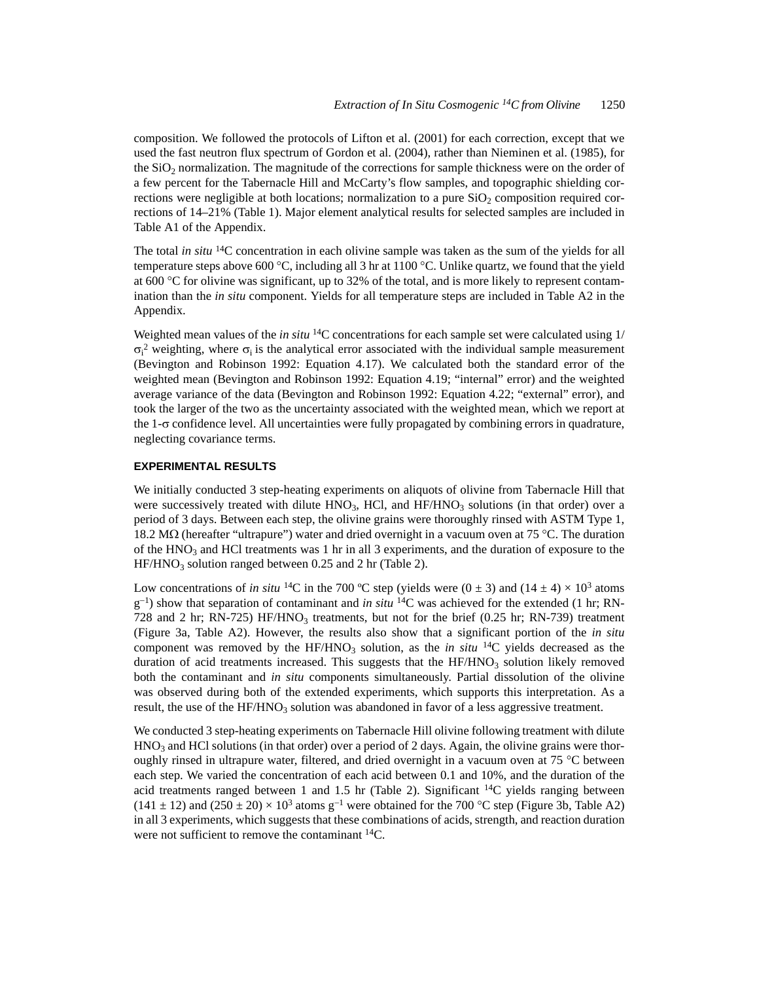composition. We followed the protocols of Lifton et al. (2001) for each correction, except that we used the fast neutron flux spectrum of Gordon et al. (2004), rather than Nieminen et al. (1985), for the SiO2 normalization. The magnitude of the corrections for sample thickness were on the order of a few percent for the Tabernacle Hill and McCarty's flow samples, and topographic shielding corrections were negligible at both locations; normalization to a pure  $SiO<sub>2</sub>$  composition required corrections of 14–21% (Table 1). Major element analytical results for selected samples are included in Table A1 of the Appendix.

The total *in situ* 14C concentration in each olivine sample was taken as the sum of the yields for all temperature steps above 600 °C, including all 3 hr at 1100 °C. Unlike quartz, we found that the yield at 600  $^{\circ}$ C for olivine was significant, up to 32% of the total, and is more likely to represent contamination than the *in situ* component. Yields for all temperature steps are included in Table A2 in the Appendix.

Weighted mean values of the *in situ* 14C concentrations for each sample set were calculated using 1/  $\sigma_i^2$  weighting, where  $\sigma_i$  is the analytical error associated with the individual sample measurement (Bevington and Robinson 1992: Equation 4.17). We calculated both the standard error of the weighted mean (Bevington and Robinson 1992: Equation 4.19; "internal" error) and the weighted average variance of the data (Bevington and Robinson 1992: Equation 4.22; "external" error), and took the larger of the two as the uncertainty associated with the weighted mean, which we report at the 1- $\sigma$  confidence level. All uncertainties were fully propagated by combining errors in quadrature, neglecting covariance terms.

#### **EXPERIMENTAL RESULTS**

We initially conducted 3 step-heating experiments on aliquots of olivine from Tabernacle Hill that were successively treated with dilute HNO<sub>3</sub>, HCl, and HF/HNO<sub>3</sub> solutions (in that order) over a period of 3 days. Between each step, the olivine grains were thoroughly rinsed with ASTM Type 1, 18.2 M $\Omega$  (hereafter "ultrapure") water and dried overnight in a vacuum oven at 75 °C. The duration of the HNO<sub>3</sub> and HCl treatments was 1 hr in all 3 experiments, and the duration of exposure to the  $HF/HNO<sub>3</sub>$  solution ranged between 0.25 and 2 hr (Table 2).

Low concentrations of *in situ* <sup>14</sup>C in the 700 °C step (yields were  $(0 \pm 3)$  and  $(14 \pm 4) \times 10^3$  atoms  $g^{-1}$ ) show that separation of contaminant and *in situ* <sup>14</sup>C was achieved for the extended (1 hr; RN-728 and 2 hr; RN-725) HF/HNO<sub>3</sub> treatments, but not for the brief  $(0.25 \text{ hr}; \text{RN-739})$  treatment (Figure 3a, Table A2). However, the results also show that a significant portion of the *in situ* component was removed by the  $HF/HNO<sub>3</sub>$  solution, as the *in situ* <sup>14</sup>C yields decreased as the duration of acid treatments increased. This suggests that the  $HF/HNO<sub>3</sub>$  solution likely removed both the contaminant and *in situ* components simultaneously. Partial dissolution of the olivine was observed during both of the extended experiments, which supports this interpretation. As a result, the use of the  $HF/HNO<sub>3</sub>$  solution was abandoned in favor of a less aggressive treatment.

We conducted 3 step-heating experiments on Tabernacle Hill olivine following treatment with dilute  $HNO<sub>3</sub>$  and HCl solutions (in that order) over a period of 2 days. Again, the olivine grains were thoroughly rinsed in ultrapure water, filtered, and dried overnight in a vacuum oven at 75  $^{\circ}$ C between each step. We varied the concentration of each acid between 0.1 and 10%, and the duration of the acid treatments ranged between 1 and 1.5 hr (Table 2). Significant  $14C$  yields ranging between  $(141 \pm 12)$  and  $(250 \pm 20) \times 10^3$  atoms g<sup>-1</sup> were obtained for the 700 °C step (Figure 3b, Table A2) in all 3 experiments, which suggests that these combinations of acids, strength, and reaction duration were not sufficient to remove the contaminant <sup>14</sup>C.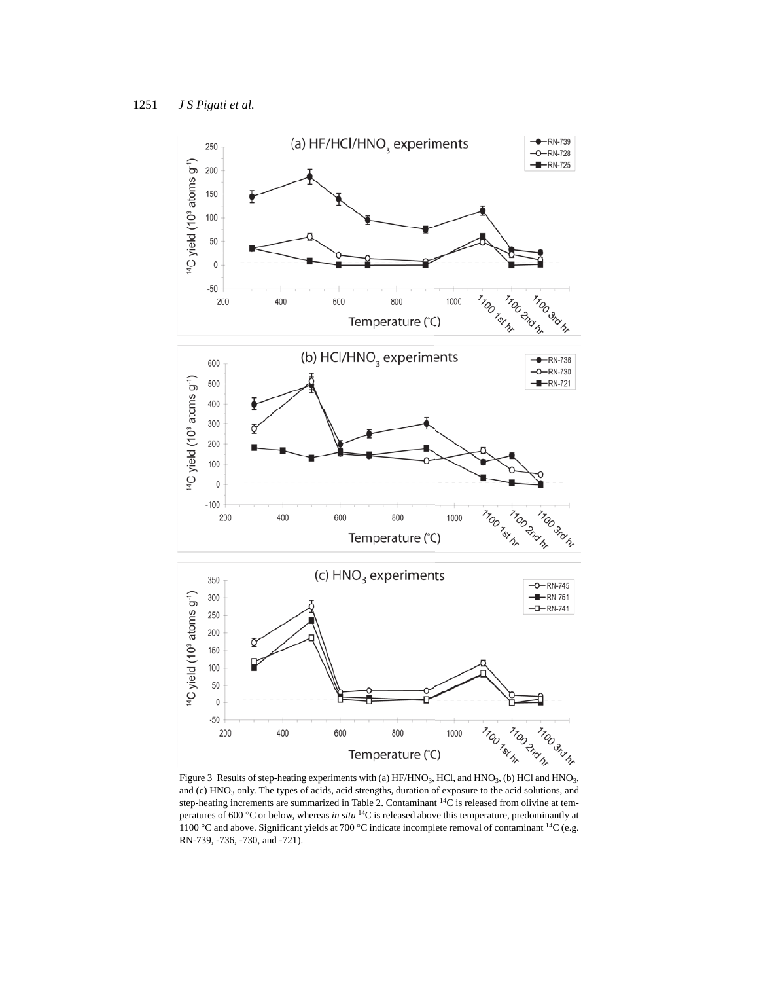

and (c) HNO<sub>3</sub> only. The types of acids, acid strengths, duration of exposure to the acid solutions, and step-heating increments are summarized in Table 2. Contaminant 14C is released from olivine at temperatures of 600 C or below, whereas *in situ* 14C is released above this temperature, predominantly at 1100 °C and above. Significant yields at 700 °C indicate incomplete removal of contaminant <sup>14</sup>C (e.g. RN-739, -736, -730, and -721).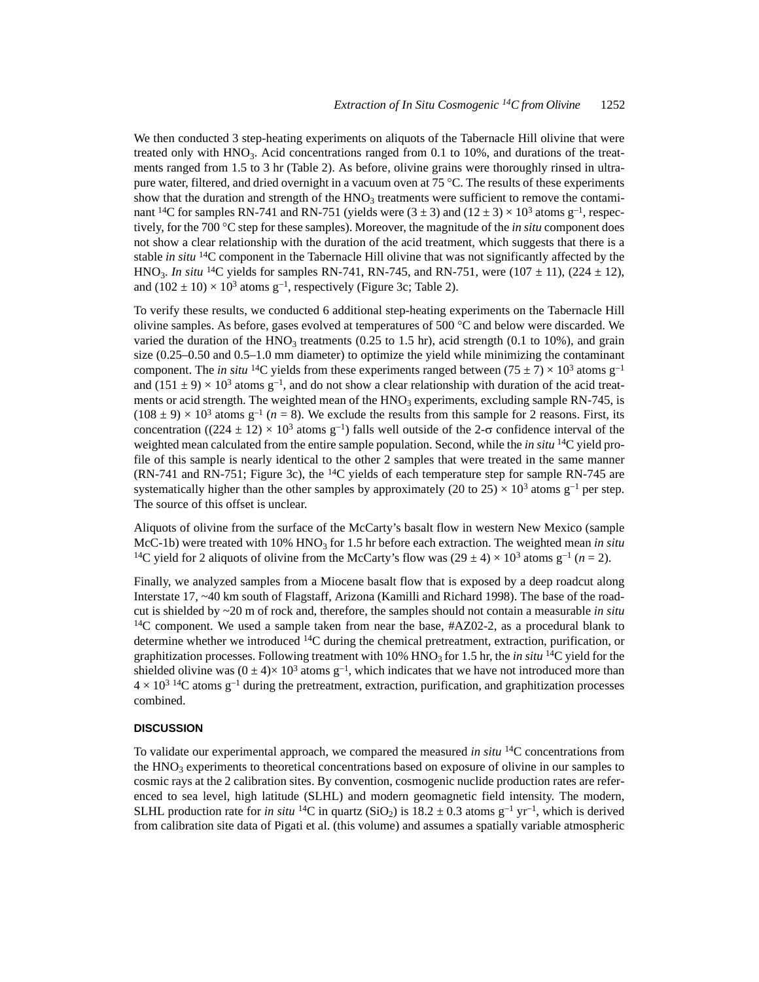We then conducted 3 step-heating experiments on aliquots of the Tabernacle Hill olivine that were treated only with  $HNO<sub>3</sub>$ . Acid concentrations ranged from 0.1 to 10%, and durations of the treatments ranged from 1.5 to 3 hr (Table 2). As before, olivine grains were thoroughly rinsed in ultrapure water, filtered, and dried overnight in a vacuum oven at 75 °C. The results of these experiments show that the duration and strength of the  $HNO<sub>3</sub>$  treatments were sufficient to remove the contaminant <sup>14</sup>C for samples RN-741 and RN-751 (yields were  $(3 \pm 3)$  and  $(12 \pm 3) \times 10^3$  atoms g<sup>-1</sup>, respectively, for the 700 °C step for these samples). Moreover, the magnitude of the *in situ* component does not show a clear relationship with the duration of the acid treatment, which suggests that there is a stable *in situ* 14C component in the Tabernacle Hill olivine that was not significantly affected by the HNO<sub>3</sub>. *In situ* <sup>14</sup>C yields for samples RN-741, RN-745, and RN-751, were (107  $\pm$  11), (224  $\pm$  12), and  $(102 \pm 10) \times 10^3$  atoms g<sup>-1</sup>, respectively (Figure 3c; Table 2).

To verify these results, we conducted 6 additional step-heating experiments on the Tabernacle Hill olivine samples. As before, gases evolved at temperatures of 500  $^{\circ}$ C and below were discarded. We varied the duration of the  $HNO<sub>3</sub>$  treatments (0.25 to 1.5 hr), acid strength (0.1 to 10%), and grain size (0.25–0.50 and 0.5–1.0 mm diameter) to optimize the yield while minimizing the contaminant component. The *in situ* <sup>14</sup>C yields from these experiments ranged between (75  $\pm$  7)  $\times$  10<sup>3</sup> atoms g<sup>-1</sup> and  $(151 \pm 9) \times 10^3$  atoms g<sup>-1</sup>, and do not show a clear relationship with duration of the acid treatments or acid strength. The weighted mean of the  $HNO<sub>3</sub>$  experiments, excluding sample RN-745, is  $(108 \pm 9) \times 10^3$  atoms g<sup>-1</sup> ( $n = 8$ ). We exclude the results from this sample for 2 reasons. First, its concentration ((224  $\pm$  12) × 10<sup>3</sup> atoms g<sup>-1</sup>) falls well outside of the 2- $\sigma$  confidence interval of the weighted mean calculated from the entire sample population. Second, while the *in situ* 14C yield profile of this sample is nearly identical to the other 2 samples that were treated in the same manner (RN-741 and RN-751; Figure 3c), the <sup>14</sup>C yields of each temperature step for sample RN-745 are systematically higher than the other samples by approximately (20 to 25)  $\times$  10<sup>3</sup> atoms g<sup>-1</sup> per step. The source of this offset is unclear.

Aliquots of olivine from the surface of the McCarty's basalt flow in western New Mexico (sample McC-1b) were treated with  $10\%$  HNO<sub>3</sub> for 1.5 hr before each extraction. The weighted mean *in situ* <sup>14</sup>C yield for 2 aliquots of olivine from the McCarty's flow was  $(29 \pm 4) \times 10^3$  atoms g<sup>-1</sup> (*n* = 2).

Finally, we analyzed samples from a Miocene basalt flow that is exposed by a deep roadcut along Interstate 17, ~40 km south of Flagstaff, Arizona (Kamilli and Richard 1998). The base of the roadcut is shielded by ~20 m of rock and, therefore, the samples should not contain a measurable *in situ*  $14C$  component. We used a sample taken from near the base, #AZ02-2, as a procedural blank to determine whether we introduced 14C during the chemical pretreatment, extraction, purification, or graphitization processes. Following treatment with  $10\%$  HNO<sub>3</sub> for 1.5 hr, the *in situ* <sup>14</sup>C yield for the shielded olivine was  $(0 \pm 4) \times 10^3$  atoms  $g^{-1}$ , which indicates that we have not introduced more than  $4 \times 10^{3}$  <sup>14</sup>C atoms g<sup>-1</sup> during the pretreatment, extraction, purification, and graphitization processes combined.

#### **DISCUSSION**

To validate our experimental approach, we compared the measured *in situ* 14C concentrations from the  $HNO<sub>3</sub>$  experiments to theoretical concentrations based on exposure of olivine in our samples to cosmic rays at the 2 calibration sites. By convention, cosmogenic nuclide production rates are referenced to sea level, high latitude (SLHL) and modern geomagnetic field intensity. The modern, SLHL production rate for *in situ* <sup>14</sup>C in quartz (SiO<sub>2</sub>) is 18.2  $\pm$  0.3 atoms g<sup>-1</sup> yr<sup>-1</sup>, which is derived from calibration site data of Pigati et al. (this volume) and assumes a spatially variable atmospheric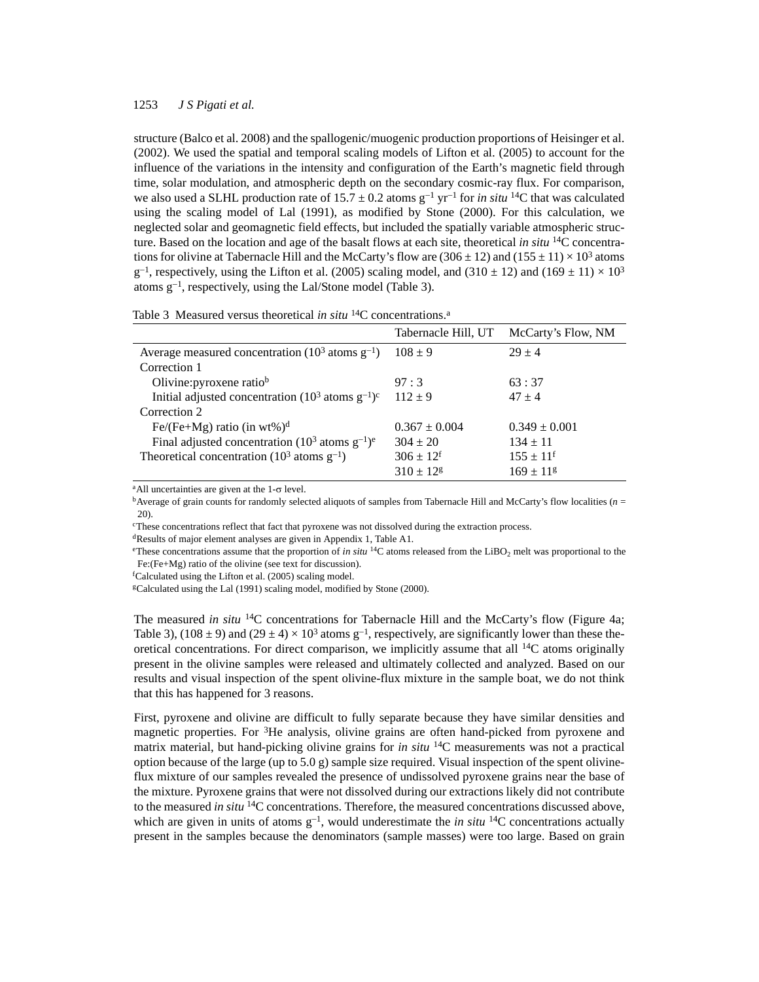structure (Balco et al. 2008) and the spallogenic/muogenic production proportions of Heisinger et al. (2002). We used the spatial and temporal scaling models of Lifton et al. (2005) to account for the influence of the variations in the intensity and configuration of the Earth's magnetic field through time, solar modulation, and atmospheric depth on the secondary cosmic-ray flux. For comparison, we also used a SLHL production rate of  $15.7 \pm 0.2$  atoms  $g^{-1}$  yr<sup>-1</sup> for *in situ* <sup>14</sup>C that was calculated using the scaling model of Lal (1991), as modified by Stone (2000). For this calculation, we neglected solar and geomagnetic field effects, but included the spatially variable atmospheric structure. Based on the location and age of the basalt flows at each site, theoretical *in situ* 14C concentrations for olivine at Tabernacle Hill and the McCarty's flow are  $(306 \pm 12)$  and  $(155 \pm 11) \times 10^3$  atoms  $g^{-1}$ , respectively, using the Lifton et al. (2005) scaling model, and (310  $\pm$  12) and (169  $\pm$  11)  $\times$  10<sup>3</sup> atoms  $g^{-1}$ , respectively, using the Lal/Stone model (Table 3).

|  |  |  |  |  | Table 3 Measured versus theoretical in situ ${}^{14}C$ concentrations. <sup>a</sup> |
|--|--|--|--|--|-------------------------------------------------------------------------------------|
|--|--|--|--|--|-------------------------------------------------------------------------------------|

| Tabernacle Hill, UT | McCarty's Flow, NM   |
|---------------------|----------------------|
| $108 \pm 9$         | $29 + 4$             |
|                     |                      |
| 97:3                | 63:37                |
| $112 \pm 9$         | $47 + 4$             |
|                     |                      |
| $0.367 \pm 0.004$   | $0.349 \pm 0.001$    |
| $304 \pm 20$        | $134 \pm 11$         |
| $306 \pm 12^{f}$    | $155 \pm 11^{\rm f}$ |
| $310 \pm 12$ g      | $169 \pm 11$ g       |
|                     |                      |

<sup>a</sup>All uncertainties are given at the  $1-\sigma$  level.

bAverage of grain counts for randomly selected aliquots of samples from Tabernacle Hill and McCarty's flow localities (*n* = 20).

cThese concentrations reflect that fact that pyroxene was not dissolved during the extraction process.

dResults of major element analyses are given in Appendix 1, Table A1.

<sup>e</sup>These concentrations assume that the proportion of *in situ* <sup>14</sup>C atoms released from the LiBO<sub>2</sub> melt was proportional to the Fe:(Fe+Mg) ratio of the olivine (see text for discussion).

f Calculated using the Lifton et al. (2005) scaling model.

gCalculated using the Lal (1991) scaling model, modified by Stone (2000).

The measured *in situ* 14C concentrations for Tabernacle Hill and the McCarty's flow (Figure 4a; Table 3), (108  $\pm$  9) and (29  $\pm$  4)  $\times$  10<sup>3</sup> atoms g<sup>-1</sup>, respectively, are significantly lower than these theoretical concentrations. For direct comparison, we implicitly assume that all  $14C$  atoms originally present in the olivine samples were released and ultimately collected and analyzed. Based on our results and visual inspection of the spent olivine-flux mixture in the sample boat, we do not think that this has happened for 3 reasons.

First, pyroxene and olivine are difficult to fully separate because they have similar densities and magnetic properties. For 3He analysis, olivine grains are often hand-picked from pyroxene and matrix material, but hand-picking olivine grains for *in situ* 14C measurements was not a practical option because of the large (up to  $5.0 \text{ g}$ ) sample size required. Visual inspection of the spent olivineflux mixture of our samples revealed the presence of undissolved pyroxene grains near the base of the mixture. Pyroxene grains that were not dissolved during our extractions likely did not contribute to the measured *in situ* 14C concentrations. Therefore, the measured concentrations discussed above, which are given in units of atoms  $g^{-1}$ , would underestimate the *in situ* <sup>14</sup>C concentrations actually present in the samples because the denominators (sample masses) were too large. Based on grain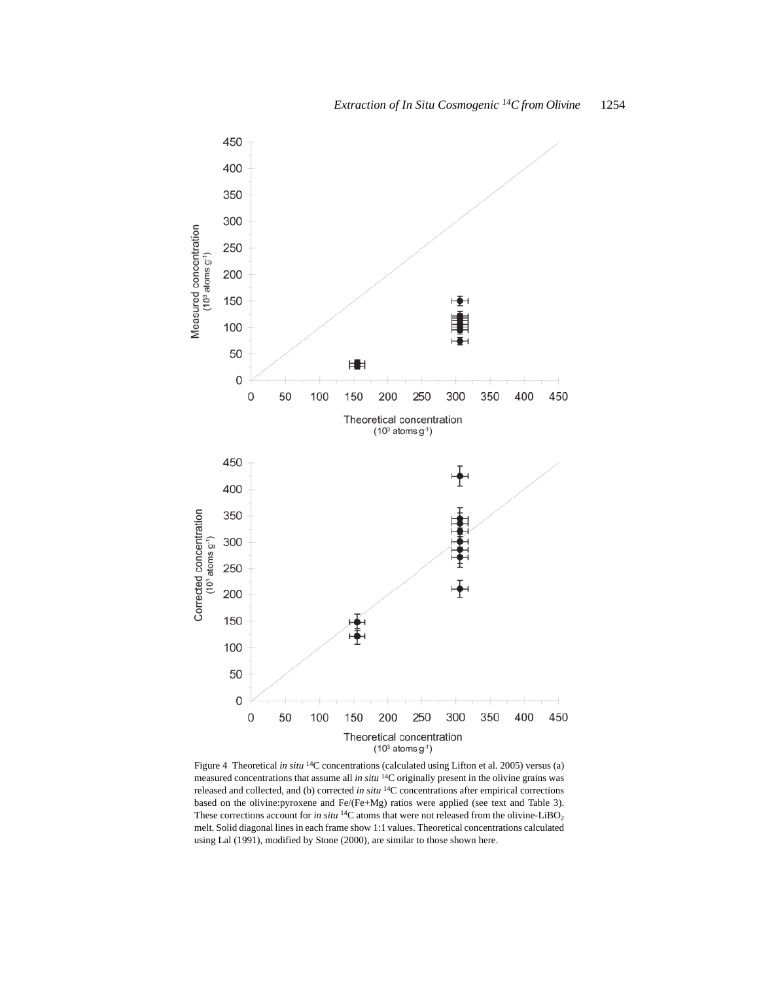

Figure 4 Theoretical *in situ* <sup>14</sup>C concentrations (calculated using Lifton et al. 2005) versus (a) measured concentrations that assume all *in situ* 14C originally present in the olivine grains was released and collected, and (b) corrected *in situ* 14C concentrations after empirical corrections based on the olivine:pyroxene and Fe/(Fe+Mg) ratios were applied (see text and Table 3). These corrections account for *in situ* <sup>14</sup>C atoms that were not released from the olivine-LiBO<sub>2</sub> melt. Solid diagonal lines in each frame show 1:1 values. Theoretical concentrations calculated using Lal (1991), modified by Stone (2000), are similar to those shown here.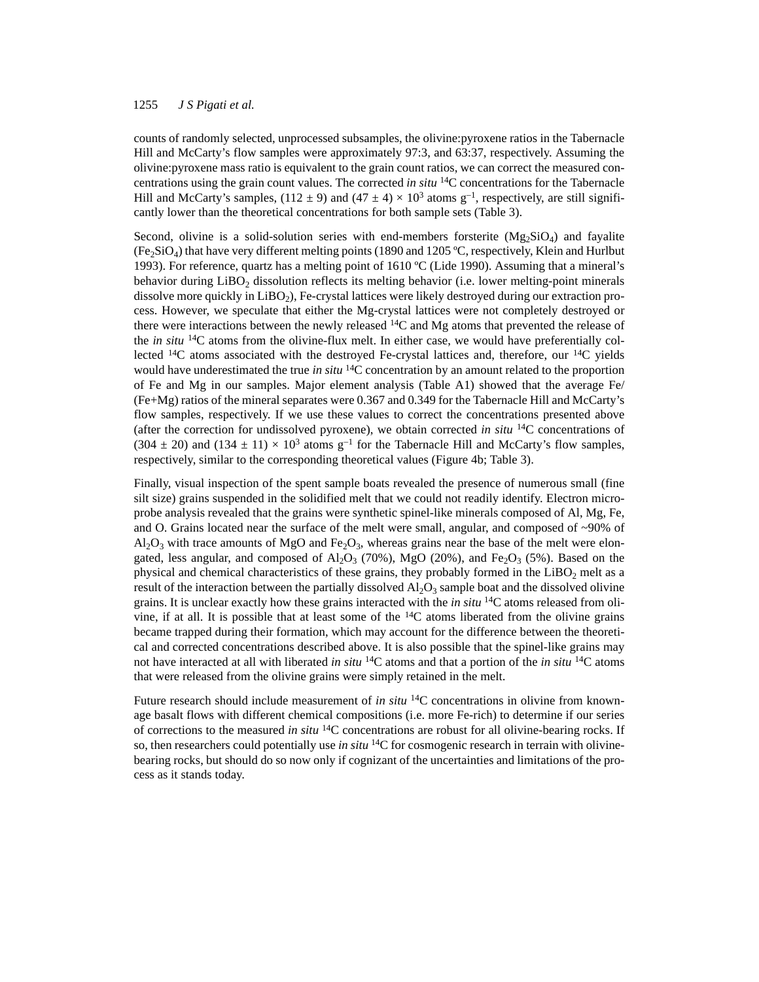counts of randomly selected, unprocessed subsamples, the olivine:pyroxene ratios in the Tabernacle Hill and McCarty's flow samples were approximately 97:3, and 63:37, respectively. Assuming the olivine:pyroxene mass ratio is equivalent to the grain count ratios, we can correct the measured concentrations using the grain count values. The corrected *in situ* 14C concentrations for the Tabernacle Hill and McCarty's samples,  $(112 \pm 9)$  and  $(47 \pm 4) \times 10^3$  atoms g<sup>-1</sup>, respectively, are still significantly lower than the theoretical concentrations for both sample sets (Table 3).

Second, olivine is a solid-solution series with end-members forsterite  $(Mg_2SiO<sub>4</sub>)$  and fayalite  $(Fe<sub>2</sub>SiO<sub>4</sub>)$  that have very different melting points (1890 and 1205 °C, respectively, Klein and Hurlbut 1993). For reference, quartz has a melting point of 1610 ºC (Lide 1990). Assuming that a mineral's behavior during  $LiBO<sub>2</sub>$  dissolution reflects its melting behavior (i.e. lower melting-point minerals dissolve more quickly in  $LiBO<sub>2</sub>$ ), Fe-crystal lattices were likely destroyed during our extraction process. However, we speculate that either the Mg-crystal lattices were not completely destroyed or there were interactions between the newly released 14C and Mg atoms that prevented the release of the *in situ* 14C atoms from the olivine-flux melt. In either case, we would have preferentially collected 14C atoms associated with the destroyed Fe-crystal lattices and, therefore, our 14C yields would have underestimated the true *in situ* 14C concentration by an amount related to the proportion of Fe and Mg in our samples. Major element analysis (Table A1) showed that the average Fe/ (Fe+Mg) ratios of the mineral separates were 0.367 and 0.349 for the Tabernacle Hill and McCarty's flow samples, respectively. If we use these values to correct the concentrations presented above (after the correction for undissolved pyroxene), we obtain corrected *in situ* 14C concentrations of  $(304 \pm 20)$  and  $(134 \pm 11) \times 10^3$  atoms  $g^{-1}$  for the Tabernacle Hill and McCarty's flow samples, respectively, similar to the corresponding theoretical values (Figure 4b; Table 3).

Finally, visual inspection of the spent sample boats revealed the presence of numerous small (fine silt size) grains suspended in the solidified melt that we could not readily identify. Electron microprobe analysis revealed that the grains were synthetic spinel-like minerals composed of Al, Mg, Fe, and O. Grains located near the surface of the melt were small, angular, and composed of ~90% of  $AI_2O_3$  with trace amounts of MgO and Fe<sub>2</sub>O<sub>3</sub>, whereas grains near the base of the melt were elongated, less angular, and composed of  $AI_2O_3$  (70%), MgO (20%), and Fe<sub>2</sub>O<sub>3</sub> (5%). Based on the physical and chemical characteristics of these grains, they probably formed in the  $LiBO<sub>2</sub>$  melt as a result of the interaction between the partially dissolved  $Al_2O_3$  sample boat and the dissolved olivine grains. It is unclear exactly how these grains interacted with the *in situ* 14C atoms released from olivine, if at all. It is possible that at least some of the  $^{14}C$  atoms liberated from the olivine grains became trapped during their formation, which may account for the difference between the theoretical and corrected concentrations described above. It is also possible that the spinel-like grains may not have interacted at all with liberated *in situ* 14C atoms and that a portion of the *in situ* 14C atoms that were released from the olivine grains were simply retained in the melt.

Future research should include measurement of *in situ* <sup>14</sup>C concentrations in olivine from knownage basalt flows with different chemical compositions (i.e. more Fe-rich) to determine if our series of corrections to the measured *in situ* 14C concentrations are robust for all olivine-bearing rocks. If so, then researchers could potentially use *in situ* 14C for cosmogenic research in terrain with olivinebearing rocks, but should do so now only if cognizant of the uncertainties and limitations of the process as it stands today.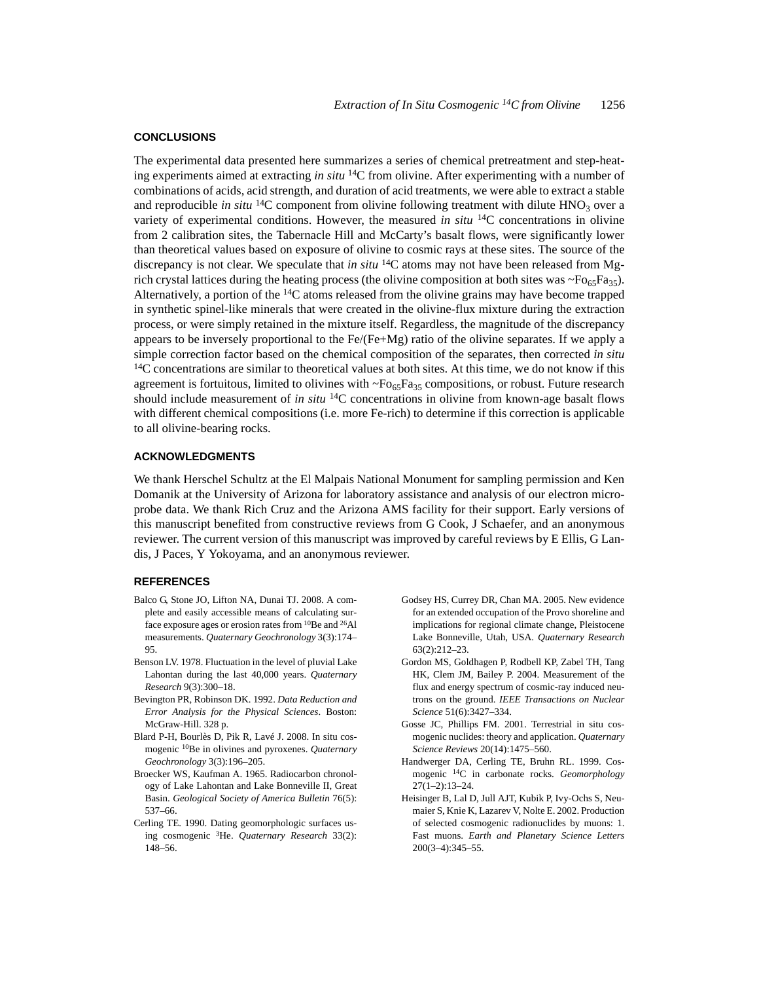#### **CONCLUSIONS**

The experimental data presented here summarizes a series of chemical pretreatment and step-heating experiments aimed at extracting *in situ* 14C from olivine. After experimenting with a number of combinations of acids, acid strength, and duration of acid treatments, we were able to extract a stable and reproducible *in situ* <sup>14</sup>C component from olivine following treatment with dilute  $HNO<sub>3</sub>$  over a variety of experimental conditions. However, the measured *in situ* 14C concentrations in olivine from 2 calibration sites, the Tabernacle Hill and McCarty's basalt flows, were significantly lower than theoretical values based on exposure of olivine to cosmic rays at these sites. The source of the discrepancy is not clear. We speculate that *in situ* 14C atoms may not have been released from Mgrich crystal lattices during the heating process (the olivine composition at both sites was  $\sim F\omega_{65}F\omega_{35}$ ). Alternatively, a portion of the  ${}^{14}C$  atoms released from the olivine grains may have become trapped in synthetic spinel-like minerals that were created in the olivine-flux mixture during the extraction process, or were simply retained in the mixture itself. Regardless, the magnitude of the discrepancy appears to be inversely proportional to the Fe/(Fe+Mg) ratio of the olivine separates. If we apply a simple correction factor based on the chemical composition of the separates, then corrected *in situ* <sup>14</sup>C concentrations are similar to theoretical values at both sites. At this time, we do not know if this agreement is fortuitous, limited to olivines with  $\sim Fo_{65}Fa_{35}$  compositions, or robust. Future research should include measurement of *in situ* 14C concentrations in olivine from known-age basalt flows with different chemical compositions (i.e. more Fe-rich) to determine if this correction is applicable to all olivine-bearing rocks.

# **ACKNOWLEDGMENTS**

We thank Herschel Schultz at the El Malpais National Monument for sampling permission and Ken Domanik at the University of Arizona for laboratory assistance and analysis of our electron microprobe data. We thank Rich Cruz and the Arizona AMS facility for their support. Early versions of this manuscript benefited from constructive reviews from G Cook, J Schaefer, and an anonymous reviewer. The current version of this manuscript was improved by careful reviews by E Ellis, G Landis, J Paces, Y Yokoyama, and an anonymous reviewer.

#### **REFERENCES**

- Balco G, Stone JO, Lifton NA, Dunai TJ. 2008. A complete and easily accessible means of calculating surface exposure ages or erosion rates from 10Be and 26Al measurements. *Quaternary Geochronology* 3(3):174– 95.
- Benson LV. 1978. Fluctuation in the level of pluvial Lake Lahontan during the last 40,000 years. *Quaternary Research* 9(3):300–18.
- Bevington PR, Robinson DK. 1992. *Data Reduction and Error Analysis for the Physical Sciences*. Boston: McGraw-Hill. 328 p.
- Blard P-H, Bourlès D, Pik R, Lavé J. 2008. In situ cosmogenic 10Be in olivines and pyroxenes. *Quaternary Geochronology* 3(3):196–205.
- Broecker WS, Kaufman A. 1965. Radiocarbon chronology of Lake Lahontan and Lake Bonneville II, Great Basin. *Geological Society of America Bulletin* 76(5): 537–66.
- Cerling TE. 1990. Dating geomorphologic surfaces using cosmogenic 3He. *Quaternary Research* 33(2): 148–56.
- Godsey HS, Currey DR, Chan MA. 2005. New evidence for an extended occupation of the Provo shoreline and implications for regional climate change, Pleistocene Lake Bonneville, Utah, USA. *Quaternary Research* 63(2):212–23.
- Gordon MS, Goldhagen P, Rodbell KP, Zabel TH, Tang HK, Clem JM, Bailey P. 2004. Measurement of the flux and energy spectrum of cosmic-ray induced neutrons on the ground. *IEEE Transactions on Nuclear Science* 51(6):3427–334.
- Gosse JC, Phillips FM. 2001. Terrestrial in situ cosmogenic nuclides: theory and application. *Quaternary Science Reviews* 20(14):1475–560.
- Handwerger DA, Cerling TE, Bruhn RL. 1999. Cosmogenic 14C in carbonate rocks. *Geomorphology* 27(1–2):13–24.
- Heisinger B, Lal D, Jull AJT, Kubik P, Ivy-Ochs S, Neumaier S, Knie K, Lazarev V, Nolte E. 2002. Production of selected cosmogenic radionuclides by muons: 1. Fast muons. *Earth and Planetary Science Letters* 200(3–4):345–55.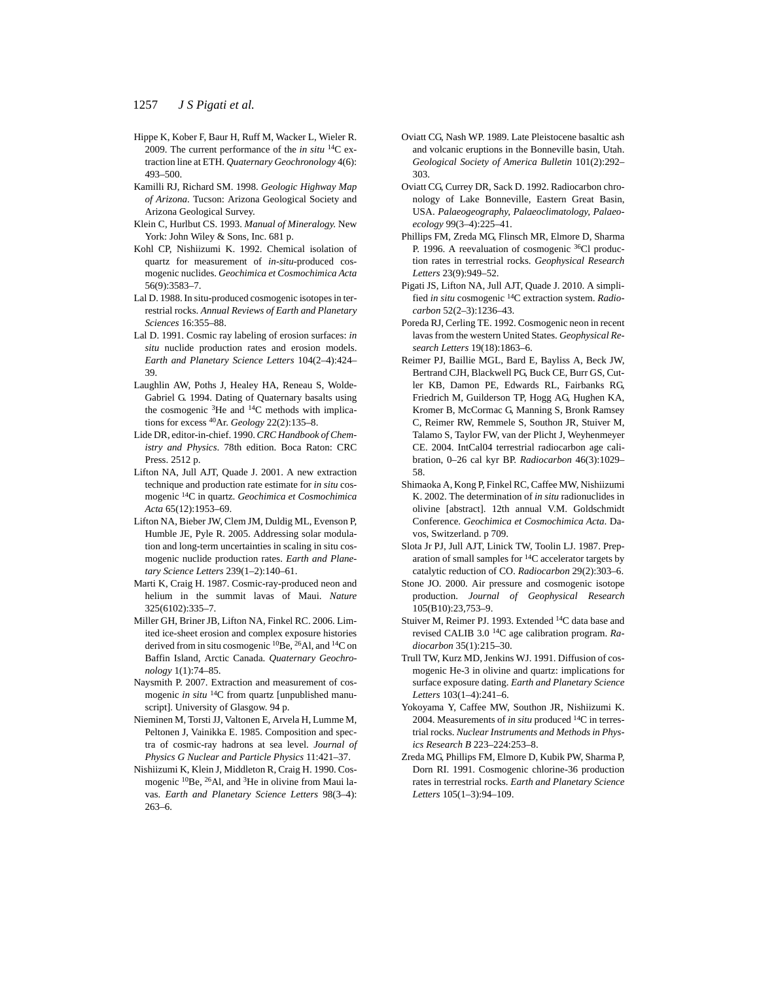- Hippe K, Kober F, Baur H, Ruff M, Wacker L, Wieler R. 2009. The current performance of the *in situ* 14C extraction line at ETH. *Quaternary Geochronology* 4(6): 493–500.
- Kamilli RJ, Richard SM. 1998. *Geologic Highway Map of Arizona*. Tucson: Arizona Geological Society and Arizona Geological Survey.
- Klein C, Hurlbut CS. 1993. *Manual of Mineralogy*. New York: John Wiley & Sons, Inc. 681 p.
- Kohl CP, Nishiizumi K. 1992. Chemical isolation of quartz for measurement of *in-situ*-produced cosmogenic nuclides. *Geochimica et Cosmochimica Acta* 56(9):3583–7.
- Lal D. 1988. In situ-produced cosmogenic isotopes in terrestrial rocks. *Annual Reviews of Earth and Planetary Sciences* 16:355–88.
- Lal D. 1991. Cosmic ray labeling of erosion surfaces: *in situ* nuclide production rates and erosion models. *Earth and Planetary Science Letters* 104(2–4):424– 39.
- Laughlin AW, Poths J, Healey HA, Reneau S, Wolde-Gabriel G. 1994. Dating of Quaternary basalts using the cosmogenic <sup>3</sup>He and <sup>14</sup>C methods with implications for excess 40Ar. *Geology* 22(2):135–8.
- Lide DR, editor-in-chief. 1990. *CRC Handbook of Chemistry and Physics*. 78th edition. Boca Raton: CRC Press. 2512 p.
- Lifton NA, Jull AJT, Quade J. 2001. A new extraction technique and production rate estimate for *in situ* cosmogenic 14C in quartz. *Geochimica et Cosmochimica Acta* 65(12):1953–69.
- Lifton NA, Bieber JW, Clem JM, Duldig ML, Evenson P, Humble JE, Pyle R. 2005. Addressing solar modulation and long-term uncertainties in scaling in situ cosmogenic nuclide production rates. *Earth and Planetary Science Letters* 239(1–2):140–61.
- Marti K, Craig H. 1987. Cosmic-ray-produced neon and helium in the summit lavas of Maui. *Nature* 325(6102):335–7.
- Miller GH, Briner JB, Lifton NA, Finkel RC. 2006. Limited ice-sheet erosion and complex exposure histories derived from in situ cosmogenic <sup>10</sup>Be, <sup>26</sup>Al, and <sup>14</sup>C on Baffin Island, Arctic Canada. *Quaternary Geochronology* 1(1):74–85.
- Naysmith P. 2007. Extraction and measurement of cosmogenic *in situ* 14C from quartz [unpublished manuscript]. University of Glasgow. 94 p.
- Nieminen M, Torsti JJ, Valtonen E, Arvela H, Lumme M, Peltonen J, Vainikka E. 1985. Composition and spectra of cosmic-ray hadrons at sea level. *Journal of Physics G Nuclear and Particle Physics* 11:421–37.
- Nishiizumi K, Klein J, Middleton R, Craig H. 1990. Cosmogenic 10Be, 26Al, and 3He in olivine from Maui lavas. *Earth and Planetary Science Letters* 98(3–4): 263–6.
- Oviatt CG, Nash WP. 1989. Late Pleistocene basaltic ash and volcanic eruptions in the Bonneville basin, Utah. *Geological Society of America Bulletin* 101(2):292– 303.
- Oviatt CG, Currey DR, Sack D. 1992. Radiocarbon chronology of Lake Bonneville, Eastern Great Basin, USA. *Palaeogeography, Palaeoclimatology, Palaeoecology* 99(3–4):225–41.
- Phillips FM, Zreda MG, Flinsch MR, Elmore D, Sharma P. 1996. A reevaluation of cosmogenic 36Cl production rates in terrestrial rocks. *Geophysical Research Letters* 23(9):949–52.
- Pigati JS, Lifton NA, Jull AJT, Quade J. 2010. A simplified *in situ* cosmogenic 14C extraction system. *Radiocarbon* 52(2–3):1236–43.
- Poreda RJ, Cerling TE. 1992. Cosmogenic neon in recent lavas from the western United States. *Geophysical Research Letters* 19(18):1863–6.
- Reimer PJ, Baillie MGL, Bard E, Bayliss A, Beck JW, Bertrand CJH, Blackwell PG, Buck CE, Burr GS, Cutler KB, Damon PE, Edwards RL, Fairbanks RG, Friedrich M, Guilderson TP, Hogg AG, Hughen KA, Kromer B, McCormac G, Manning S, Bronk Ramsey C, Reimer RW, Remmele S, Southon JR, Stuiver M, Talamo S, Taylor FW, van der Plicht J, Weyhenmeyer CE. 2004. IntCal04 terrestrial radiocarbon age calibration, 0–26 cal kyr BP. *Radiocarbon* 46(3):1029– 58.
- Shimaoka A, Kong P, Finkel RC, Caffee MW, Nishiizumi K. 2002. The determination of *in situ* radionuclides in olivine [abstract]. 12th annual V.M. Goldschmidt Conference. *Geochimica et Cosmochimica Acta*. Davos, Switzerland. p 709.
- Slota Jr PJ, Jull AJT, Linick TW, Toolin LJ. 1987. Preparation of small samples for 14C accelerator targets by catalytic reduction of CO. *Radiocarbon* 29(2):303–6.
- Stone JO. 2000. Air pressure and cosmogenic isotope production. *Journal of Geophysical Research* 105(B10):23,753–9.
- Stuiver M, Reimer PJ. 1993. Extended 14C data base and revised CALIB 3.0 14C age calibration program. *Radiocarbon* 35(1):215–30.
- Trull TW, Kurz MD, Jenkins WJ. 1991. Diffusion of cosmogenic He-3 in olivine and quartz: implications for surface exposure dating. *Earth and Planetary Science Letters* 103(1–4):241–6.
- Yokoyama Y, Caffee MW, Southon JR, Nishiizumi K. 2004. Measurements of *in situ* produced 14C in terrestrial rocks. *Nuclear Instruments and Methods in Physics Research B* 223–224:253–8.
- Zreda MG, Phillips FM, Elmore D, Kubik PW, Sharma P, Dorn RI. 1991. Cosmogenic chlorine-36 production rates in terrestrial rocks. *Earth and Planetary Science Letters* 105(1–3):94–109.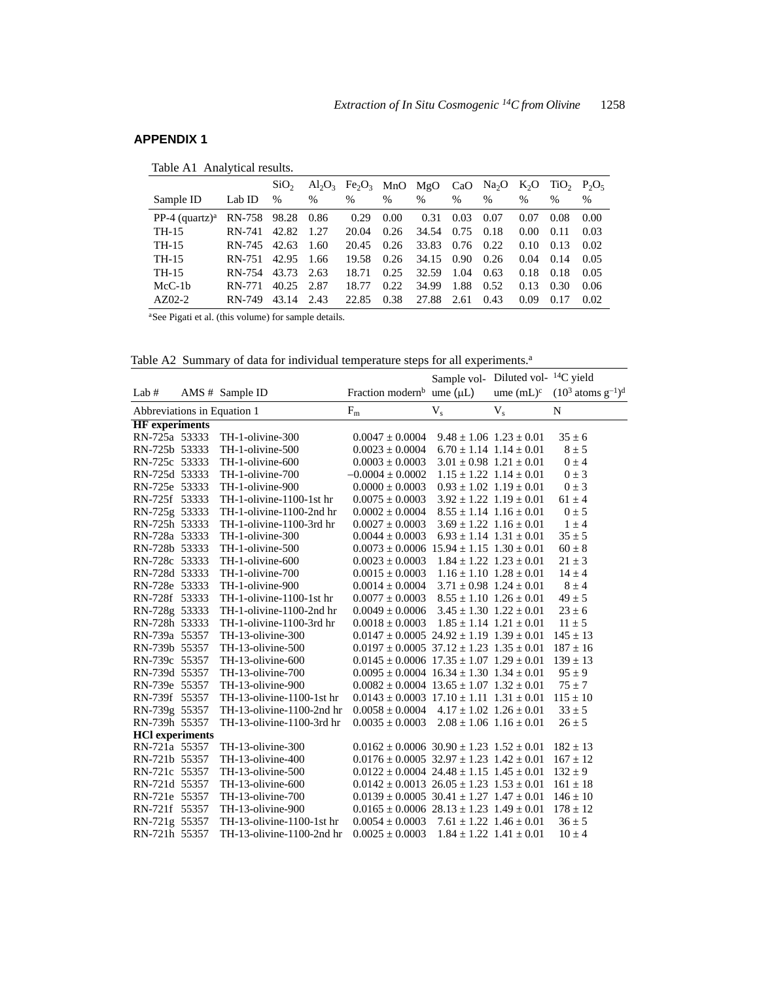# **APPENDIX 1**

|  | Table A1 Analytical results. |  |
|--|------------------------------|--|
|--|------------------------------|--|

|                            |        | SiO <sub>2</sub> |               | $Al_2O_3$ Fe <sub>2</sub> O <sub>3</sub> MnO MgO |               |               | CaO               | Na <sub>2</sub> O | $K_2O$         | $TiO_2$ , $P_2O_5$ |      |
|----------------------------|--------|------------------|---------------|--------------------------------------------------|---------------|---------------|-------------------|-------------------|----------------|--------------------|------|
| Sample ID                  | Lab ID | $\frac{0}{0}$    | $\frac{0}{0}$ | $\%$                                             | $\frac{0}{0}$ | $\frac{0}{0}$ | $\frac{0}{0}$     | $\frac{0}{0}$     | $\frac{0}{0}$  | $\frac{0}{0}$      | $\%$ |
| PP-4 (quartz) <sup>a</sup> | RN-758 | 98.28 0.86       |               | 0.29                                             | 0.00          | 0.31          | 0.03              | 0.07              | 0.07           | 0.08               | 0.00 |
| TH-15                      | RN-741 | 42.82            | 1.27          | 20.04                                            | 0.26          | 34.54         | 0.75              | 0.18              | $0.00^{\circ}$ | 0.11               | 0.03 |
| TH-15                      | RN-745 | 42.63            | 1.60          | 20.45                                            | 0.26          | 33.83         | 0.76              | 0.22              | 0.10           | 0.13               | 0.02 |
| TH-15                      | RN-751 | 42.95            | 1.66          | 19.58                                            | 0.26          | 34.15         | 0.90 <sub>1</sub> | 0.26              | 0.04           | 0.14               | 0.05 |
| TH-15                      | RN-754 | 43.73            | 2.63          | 18.71                                            | 0.25          | 32.59         | 1.04              | 0.63              | 0.18           | 0.18               | 0.05 |
| $McC-1b$                   | RN-771 | 40.25            | 2.87          | 18.77                                            | 0.22          | 34.99         | 1.88              | 0.52              | 0.13           | 0.30               | 0.06 |
| $AZ02-2$                   | RN-749 | 43.14            | 2.43          | 22.85                                            | 0.38          | 27.88         | 2.61              | 0.43              | 0.09           | 0.17               | 0.02 |

aSee Pigati et al. (this volume) for sample details.

Table A2 Summary of data for individual temperature steps for all experiments.<sup>a</sup>

|                             |                           |                                                      | Sample vol- Diluted vol- <sup>14</sup> C yield |                                 |                                 |
|-----------------------------|---------------------------|------------------------------------------------------|------------------------------------------------|---------------------------------|---------------------------------|
| Lab $#$                     | AMS # Sample ID           | Fraction modern <sup>b</sup> ume $(\mu L)$           |                                                | ume $(mL)^c$                    | $(10^3 \text{ atoms g}^{-1})^d$ |
| Abbreviations in Equation 1 |                           | $F_m$                                                | $V_{s}$                                        | $V_{s}$                         | N                               |
| <b>HF</b> experiments       |                           |                                                      |                                                |                                 |                                 |
| RN-725a 53333               | TH-1-olivine-300          | $0.0047 \pm 0.0004$                                  |                                                | $9.48 \pm 1.06$ $1.23 \pm 0.01$ | $35 \pm 6$                      |
| RN-725b 53333               | TH-1-olivine-500          | $0.0023 \pm 0.0004$                                  |                                                | $6.70 \pm 1.14$ $1.14 \pm 0.01$ | $8 \pm 5$                       |
| RN-725c 53333               | TH-1-olivine-600          | $0.0003 \pm 0.0003$                                  |                                                | $3.01 \pm 0.98$ $1.21 \pm 0.01$ | $0 \pm 4$                       |
| RN-725d 53333               | TH-1-olivine-700          | $-0.0004 \pm 0.0002$                                 |                                                | $1.15 \pm 1.22$ $1.14 \pm 0.01$ | $0 \pm 3$                       |
| RN-725e 53333               | TH-1-olivine-900          | $0.0000 \pm 0.0003$                                  |                                                | $0.93 \pm 1.02$ $1.19 \pm 0.01$ | $0 \pm 3$                       |
| RN-725f 53333               | TH-1-olivine-1100-1st hr  | $0.0075 \pm 0.0003$                                  |                                                | $3.92 \pm 1.22$ $1.19 \pm 0.01$ | $61 \pm 4$                      |
| RN-725g 53333               | TH-1-olivine-1100-2nd hr  | $0.0002 \pm 0.0004$                                  |                                                | $8.55 \pm 1.14$ $1.16 \pm 0.01$ | $0 \pm 5$                       |
| RN-725h 53333               | TH-1-olivine-1100-3rd hr  | $0.0027 \pm 0.0003$                                  |                                                | $3.69 \pm 1.22$ $1.16 \pm 0.01$ | $1 \pm 4$                       |
| RN-728a 53333               | TH-1-olivine-300          | $0.0044 \pm 0.0003$                                  |                                                | $6.93 \pm 1.14$ $1.31 \pm 0.01$ | $35 \pm 5$                      |
| RN-728b 53333               | TH-1-olivine-500          | $0.0073 \pm 0.0006$ 15.94 $\pm$ 1.15 1.30 $\pm$ 0.01 |                                                |                                 | $60 \pm 8$                      |
| RN-728c 53333               | TH-1-olivine-600          | $0.0023 \pm 0.0003$                                  |                                                | $1.84 \pm 1.22$ $1.23 \pm 0.01$ | $21 \pm 3$                      |
| RN-728d 53333               | TH-1-olivine-700          | $0.0015 \pm 0.0003$                                  |                                                | $1.16 \pm 1.10$ $1.28 \pm 0.01$ | $14 \pm 4$                      |
| RN-728e 53333               | TH-1-olivine-900          | $0.0014 \pm 0.0004$                                  |                                                | $3.71 \pm 0.98$ $1.24 \pm 0.01$ | $8 \pm 4$                       |
| RN-728f 53333               | TH-1-olivine-1100-1st hr  | $0.0077 \pm 0.0003$                                  |                                                | $8.55 \pm 1.10$ $1.26 \pm 0.01$ | $49 \pm 5$                      |
| RN-728g 53333               | TH-1-olivine-1100-2nd hr  | $0.0049 \pm 0.0006$                                  |                                                | $3.45 \pm 1.30$ $1.22 \pm 0.01$ | $23 \pm 6$                      |
| RN-728h 53333               | TH-1-olivine-1100-3rd hr  | $0.0018 \pm 0.0003$                                  |                                                | $1.85 \pm 1.14$ $1.21 \pm 0.01$ | $11 \pm 5$                      |
| RN-739a 55357               | TH-13-olivine-300         | $0.0147 \pm 0.0005$ 24.92 $\pm$ 1.19 1.39 $\pm$ 0.01 |                                                |                                 | $145 \pm 13$                    |
| RN-739b 55357               | TH-13-olivine-500         | $0.0197 \pm 0.0005$ 37.12 $\pm$ 1.23 1.35 $\pm$ 0.01 |                                                |                                 | $187 \pm 16$                    |
| RN-739c 55357               | TH-13-olivine-600         | $0.0145 \pm 0.0006$ $17.35 \pm 1.07$ $1.29 \pm 0.01$ |                                                |                                 | $139 \pm 13$                    |
| RN-739d 55357               | TH-13-olivine-700         | $0.0095 \pm 0.0004$ $16.34 \pm 1.30$ $1.34 \pm 0.01$ |                                                |                                 | $95 \pm 9$                      |
| RN-739e 55357               | TH-13-olivine-900         | $0.0082 \pm 0.0004$ 13.65 $\pm$ 1.07 1.32 $\pm$ 0.01 |                                                |                                 | $75 \pm 7$                      |
| RN-739f 55357               | TH-13-olivine-1100-1st hr | $0.0143 \pm 0.0003$ 17.10 $\pm$ 1.11 1.31 $\pm$ 0.01 |                                                |                                 | $115 \pm 10$                    |
| RN-739g 55357               | TH-13-olivine-1100-2nd hr | $0.0058 \pm 0.0004$                                  |                                                | $4.17 \pm 1.02$ $1.26 \pm 0.01$ | $33 \pm 5$                      |
| RN-739h 55357               | TH-13-olivine-1100-3rd hr | $0.0035 \pm 0.0003$                                  |                                                | $2.08 \pm 1.06$ $1.16 \pm 0.01$ | $26 \pm 5$                      |
| <b>HCl</b> experiments      |                           |                                                      |                                                |                                 |                                 |
| RN-721a 55357               | TH-13-olivine-300         | $0.0162 \pm 0.0006$ 30.90 $\pm$ 1.23 1.52 $\pm$ 0.01 |                                                |                                 | $182 \pm 13$                    |
| RN-721b 55357               | TH-13-olivine-400         | $0.0176 \pm 0.0005$ 32.97 $\pm$ 1.23 1.42 $\pm$ 0.01 |                                                |                                 | $167 \pm 12$                    |
| RN-721c 55357               | TH-13-olivine-500         | $0.0122 \pm 0.0004$ 24.48 $\pm$ 1.15 1.45 $\pm$ 0.01 |                                                |                                 | $132 \pm 9$                     |
| RN-721d 55357               | TH-13-olivine-600         | $0.0142 \pm 0.0013$ $26.05 \pm 1.23$ $1.53 \pm 0.01$ |                                                |                                 | $161 \pm 18$                    |
| RN-721e 55357               | TH-13-olivine-700         | $0.0139 \pm 0.0005$ 30.41 $\pm$ 1.27 1.47 $\pm$ 0.01 |                                                |                                 | $146 \pm 10$                    |
| RN-721f 55357               | TH-13-olivine-900         | $0.0165 \pm 0.0006$ $28.13 \pm 1.23$ $1.49 \pm 0.01$ |                                                |                                 | $178 \pm 12$                    |
| RN-721g 55357               | TH-13-olivine-1100-1st hr | $0.0054 \pm 0.0003$                                  |                                                | $7.61 \pm 1.22$ $1.46 \pm 0.01$ | $36 \pm 5$                      |
| RN-721h 55357               | TH-13-olivine-1100-2nd hr | $0.0025 \pm 0.0003$                                  |                                                | $1.84 \pm 1.22$ $1.41 \pm 0.01$ | $10 \pm 4$                      |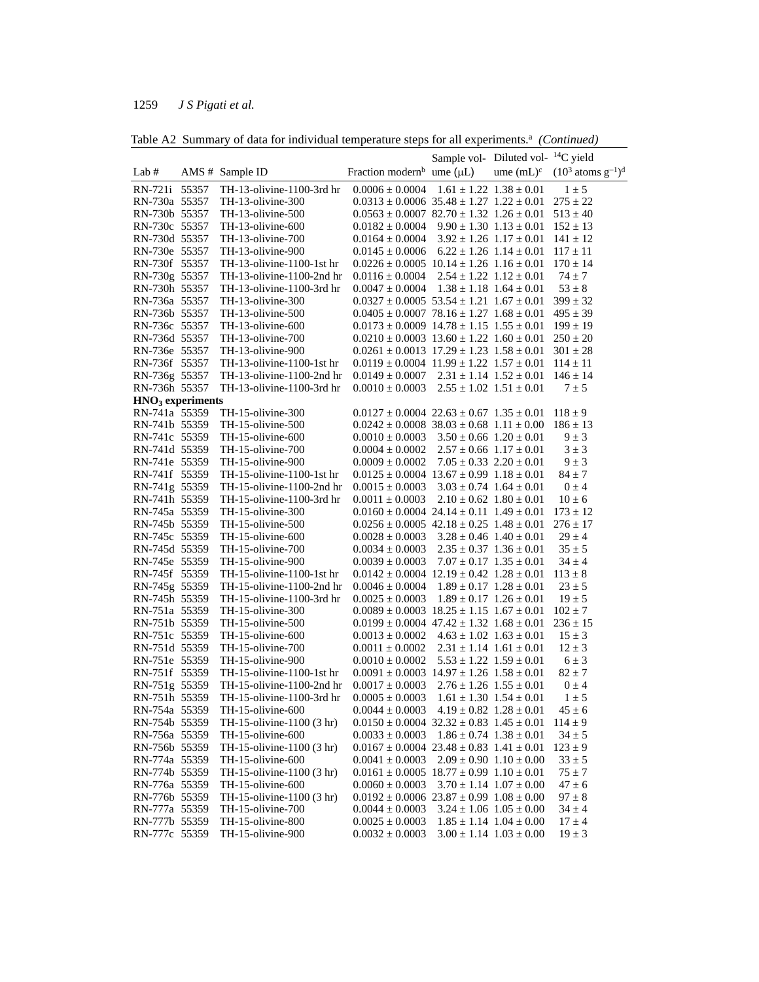|  | Table A2 Summary of data for individual temperature steps for all experiments. <sup>a</sup> (Continued) |  |  |
|--|---------------------------------------------------------------------------------------------------------|--|--|
|  |                                                                                                         |  |  |

|                                |       |                                                        |                                                      | Sample vol- Diluted vol- <sup>14</sup> C yield                     |                                 |                                                       |
|--------------------------------|-------|--------------------------------------------------------|------------------------------------------------------|--------------------------------------------------------------------|---------------------------------|-------------------------------------------------------|
| Lab $#$                        |       | AMS # Sample ID                                        | Fraction modern <sup>b</sup> ume ( $\mu$ L)          |                                                                    |                                 | ume (mL) <sup>c</sup> $(10^3 \text{ atoms g}^{-1})^d$ |
| RN-721i                        | 55357 | TH-13-olivine-1100-3rd hr                              | $0.0006 \pm 0.0004$                                  | $1.61 \pm 1.22$ $1.38 \pm 0.01$                                    |                                 |                                                       |
| RN-730a 55357                  |       | TH-13-olivine-300                                      | $0.0313 \pm 0.0006$ 35.48 $\pm$ 1.27 1.22 $\pm$ 0.01 |                                                                    |                                 | $1 \pm 5$<br>$275 \pm 22$                             |
| RN-730b 55357                  |       |                                                        | $0.0563 \pm 0.0007$ 82.70 $\pm$ 1.32 1.26 $\pm$ 0.01 |                                                                    |                                 | $513 \pm 40$                                          |
|                                |       | TH-13-olivine-500                                      |                                                      |                                                                    |                                 | $152 \pm 13$                                          |
| RN-730c 55357<br>RN-730d 55357 |       | TH-13-olivine-600<br>TH-13-olivine-700                 | $0.0182 \pm 0.0004$<br>$0.0164 \pm 0.0004$           | $9.90 \pm 1.30$ $1.13 \pm 0.01$<br>$3.92 \pm 1.26$ $1.17 \pm 0.01$ |                                 | $141 \pm 12$                                          |
|                                |       |                                                        |                                                      |                                                                    |                                 |                                                       |
| RN-730e 55357<br>RN-730f 55357 |       | TH-13-olivine-900                                      | $0.0145 \pm 0.0006$                                  | $6.22 \pm 1.26$ $1.14 \pm 0.01$                                    |                                 | $117 \pm 11$<br>$170 \pm 14$                          |
|                                |       | TH-13-olivine-1100-1st hr<br>TH-13-olivine-1100-2nd hr | $0.0226 \pm 0.0005$ 10.14 $\pm$ 1.26 1.16 $\pm$ 0.01 |                                                                    |                                 |                                                       |
| RN-730g 55357                  |       |                                                        | $0.0116 \pm 0.0004$                                  | $2.54 \pm 1.22$ $1.12 \pm 0.01$                                    |                                 | $74 \pm 7$                                            |
| RN-730h 55357                  |       | TH-13-olivine-1100-3rd hr                              | $0.0047 \pm 0.0004$                                  | $1.38 \pm 1.18$ $1.64 \pm 0.01$                                    |                                 | $53 \pm 8$                                            |
| RN-736a 55357                  |       | TH-13-olivine-300                                      | $0.0327 \pm 0.0005$ 53.54 $\pm$ 1.21 1.67 $\pm$ 0.01 |                                                                    |                                 | $399 \pm 32$                                          |
| RN-736b 55357                  |       | TH-13-olivine-500                                      | $0.0405 \pm 0.0007$ 78.16 $\pm$ 1.27 1.68 $\pm$ 0.01 |                                                                    |                                 | $495 \pm 39$                                          |
| RN-736c 55357                  |       | TH-13-olivine-600                                      | $0.0173 \pm 0.0009$ $14.78 \pm 1.15$ $1.55 \pm 0.01$ |                                                                    |                                 | $199 \pm 19$                                          |
| RN-736d 55357                  |       | TH-13-olivine-700                                      | $0.0210 \pm 0.0003$ 13.60 $\pm$ 1.22 1.60 $\pm$ 0.01 |                                                                    |                                 | $250 \pm 20$                                          |
| RN-736e 55357                  |       | TH-13-olivine-900                                      | $0.0261 \pm 0.0013$ 17.29 $\pm$ 1.23 1.58 $\pm$ 0.01 |                                                                    |                                 | $301 \pm 28$                                          |
| RN-736f 55357                  |       | TH-13-olivine-1100-1st hr                              | $0.0119 \pm 0.0004$ $11.99 \pm 1.22$ $1.57 \pm 0.01$ |                                                                    |                                 | $114 \pm 11$                                          |
| RN-736g 55357                  |       | TH-13-olivine-1100-2nd hr                              | $0.0149 \pm 0.0007$                                  | $2.31 \pm 1.14$ $1.52 \pm 0.01$                                    |                                 | $146 \pm 14$                                          |
| RN-736h 55357                  |       | TH-13-olivine-1100-3rd hr                              | $0.0010 \pm 0.0003$                                  | $2.55 \pm 1.02$ $1.51 \pm 0.01$                                    |                                 | $7 \pm 5$                                             |
| $HNO3$ experiments             |       |                                                        |                                                      |                                                                    |                                 |                                                       |
| RN-741a 55359                  |       | TH-15-olivine-300                                      | $0.0127 \pm 0.0004$ $22.63 \pm 0.67$ $1.35 \pm 0.01$ |                                                                    |                                 | $118 \pm 9$                                           |
| RN-741b 55359                  |       | TH-15-olivine-500                                      | $0.0242 \pm 0.0008$ 38.03 $\pm$ 0.68 1.11 $\pm$ 0.00 |                                                                    |                                 | $186 \pm 13$                                          |
| RN-741c 55359                  |       | TH-15-olivine-600                                      | $0.0010 \pm 0.0003$                                  | $3.50 \pm 0.66$ $1.20 \pm 0.01$                                    |                                 | $9 \pm 3$                                             |
| RN-741d 55359                  |       | TH-15-olivine-700                                      | $0.0004 \pm 0.0002$                                  | $2.57 \pm 0.66$ $1.17 \pm 0.01$                                    |                                 | $3 \pm 3$                                             |
| RN-741e 55359                  |       | TH-15-olivine-900                                      | $0.0009 \pm 0.0002$                                  | $7.05 \pm 0.33$ $2.20 \pm 0.01$                                    |                                 | $9 \pm 3$                                             |
| RN-741f 55359                  |       | TH-15-olivine-1100-1st hr                              | $0.0125 \pm 0.0004$ 13.67 $\pm$ 0.99 1.18 $\pm$ 0.01 |                                                                    |                                 | $84 \pm 7$                                            |
| RN-741g 55359                  |       | TH-15-olivine-1100-2nd hr                              | $0.0015 \pm 0.0003$                                  | $3.03 \pm 0.74$ $1.64 \pm 0.01$                                    |                                 | $0 \pm 4$                                             |
| RN-741h 55359                  |       | TH-15-olivine-1100-3rd hr                              | $0.0011 \pm 0.0003$                                  | $2.10 \pm 0.62$ $1.80 \pm 0.01$                                    |                                 | $10 \pm 6$                                            |
| RN-745a 55359                  |       | TH-15-olivine-300                                      | $0.0160 \pm 0.0004$ 24.14 $\pm$ 0.11 1.49 $\pm$ 0.01 |                                                                    |                                 | $173 \pm 12$                                          |
| RN-745b 55359                  |       | TH-15-olivine-500                                      | $0.0256 \pm 0.0005$ 42.18 $\pm 0.25$ 1.48 $\pm 0.01$ |                                                                    |                                 | $276 \pm 17$                                          |
| RN-745c 55359                  |       | TH-15-olivine-600                                      | $0.0028 \pm 0.0003$                                  | $3.28 \pm 0.46$ $1.40 \pm 0.01$                                    |                                 | $29 \pm 4$                                            |
| RN-745d 55359                  |       | TH-15-olivine-700                                      | $0.0034 \pm 0.0003$                                  | $2.35 \pm 0.37$ $1.36 \pm 0.01$                                    |                                 | $35 \pm 5$                                            |
| RN-745e 55359                  |       | TH-15-olivine-900                                      | $0.0039 \pm 0.0003$                                  | $7.07 \pm 0.17$ $1.35 \pm 0.01$                                    |                                 | $34 \pm 4$                                            |
| RN-745f 55359                  |       | TH-15-olivine-1100-1st hr                              | $0.0142 \pm 0.0004$ 12.19 $\pm$ 0.42 1.28 $\pm$ 0.01 |                                                                    |                                 | $113 \pm 8$                                           |
| RN-745g 55359                  |       | TH-15-olivine-1100-2nd hr                              | $0.0046 \pm 0.0004$                                  | $1.89 \pm 0.17$ $1.28 \pm 0.01$                                    |                                 | $23\pm5$                                              |
| RN-745h 55359                  |       | TH-15-olivine-1100-3rd hr                              | $0.0025 \pm 0.0003$                                  | $1.89 \pm 0.17$ $1.26 \pm 0.01$                                    |                                 | $19 \pm 5$                                            |
| RN-751a 55359                  |       | TH-15-olivine-300                                      | $0.0089 \pm 0.0003$ 18.25 $\pm$ 1.15 1.67 $\pm$ 0.01 |                                                                    |                                 | $102 \pm 7$                                           |
| RN-751b 55359                  |       | TH-15-olivine-500                                      | $0.0199 \pm 0.0004$ 47.42 $\pm$ 1.32 1.68 $\pm$ 0.01 |                                                                    |                                 | $236 \pm 15$                                          |
| RN-751c 55359                  |       | TH-15-olivine-600                                      | $0.0013 \pm 0.0002$                                  | $4.63 \pm 1.02$ $1.63 \pm 0.01$                                    |                                 | $15 \pm 3$                                            |
| RN-751d 55359                  |       | TH-15-olivine-700                                      | $0.0011 \pm 0.0002$                                  | $2.31 \pm 1.14$ $1.61 \pm 0.01$                                    |                                 | $12 \pm 3$                                            |
| RN-751e 55359                  |       | TH-15-olivine-900                                      | $0.0010 \pm 0.0002$                                  | $5.53 \pm 1.22$ $1.59 \pm 0.01$                                    |                                 | $6 \pm 3$                                             |
| RN-751f 55359                  |       | TH-15-olivine-1100-1st hr                              | $0.0091 \pm 0.0003$ 14.97 $\pm$ 1.26 1.58 $\pm$ 0.01 |                                                                    |                                 | $82 \pm 7$                                            |
| RN-751g 55359                  |       | TH-15-olivine-1100-2nd hr                              | $0.0017 \pm 0.0003$                                  | $2.76 \pm 1.26$ $1.55 \pm 0.01$                                    |                                 | $0 \pm 4$                                             |
| RN-751h 55359                  |       | TH-15-olivine-1100-3rd hr                              | $0.0005 \pm 0.0003$                                  | $1.61 \pm 1.30$ $1.54 \pm 0.01$                                    |                                 | $1 \pm 5$                                             |
|                                |       | TH-15-olivine-600                                      | $0.0044 \pm 0.0003$                                  |                                                                    |                                 | $45 \pm 6$                                            |
| RN-754a 55359                  |       |                                                        |                                                      | $4.19 \pm 0.82$ $1.28 \pm 0.01$                                    |                                 |                                                       |
| RN-754b 55359                  |       | TH-15-olivine-1100 (3 hr)                              | $0.0150 \pm 0.0004$ 32.32 $\pm$ 0.83 1.45 $\pm$ 0.01 |                                                                    |                                 | $114 \pm 9$                                           |
| RN-756a 55359                  |       | TH-15-olivine-600                                      | $0.0033 \pm 0.0003$                                  | $1.86 \pm 0.74$ $1.38 \pm 0.01$                                    |                                 | $34 \pm 5$                                            |
| RN-756b 55359                  |       | TH-15-olivine-1100 (3 hr)                              | $0.0167 \pm 0.0004$ 23.48 $\pm$ 0.83 1.41 $\pm$ 0.01 |                                                                    |                                 | $123 \pm 9$                                           |
| RN-774a 55359                  |       | TH-15-olivine-600                                      | $0.0041 \pm 0.0003$                                  | $2.09 \pm 0.90$ $1.10 \pm 0.00$                                    |                                 | $33 \pm 5$                                            |
| RN-774b 55359                  |       | TH-15-olivine-1100 (3 hr)                              | $0.0161 \pm 0.0005$ 18.77 $\pm$ 0.99 1.10 $\pm$ 0.01 |                                                                    |                                 | $75 \pm 7$                                            |
| RN-776a 55359                  |       | TH-15-olivine-600                                      | $0.0060 \pm 0.0003$                                  |                                                                    | $3.70 \pm 1.14$ $1.07 \pm 0.00$ | $47 \pm 6$                                            |
| RN-776b 55359                  |       | TH-15-olivine-1100 (3 hr)                              | $0.0192 \pm 0.0006$ 23.87 $\pm$ 0.99 1.08 $\pm$ 0.00 |                                                                    |                                 | $97 \pm 8$                                            |
| RN-777a 55359                  |       | TH-15-olivine-700                                      | $0.0044 \pm 0.0003$                                  | $3.24 \pm 1.06$ $1.05 \pm 0.00$                                    |                                 | $34 \pm 4$                                            |
| RN-777b 55359                  |       | TH-15-olivine-800                                      | $0.0025 \pm 0.0003$                                  |                                                                    | $1.85 \pm 1.14$ $1.04 \pm 0.00$ | $17 \pm 4$                                            |
| RN-777c 55359                  |       | TH-15-olivine-900                                      | $0.0032 \pm 0.0003$                                  |                                                                    | $3.00 \pm 1.14$ $1.03 \pm 0.00$ | $19 \pm 3$                                            |